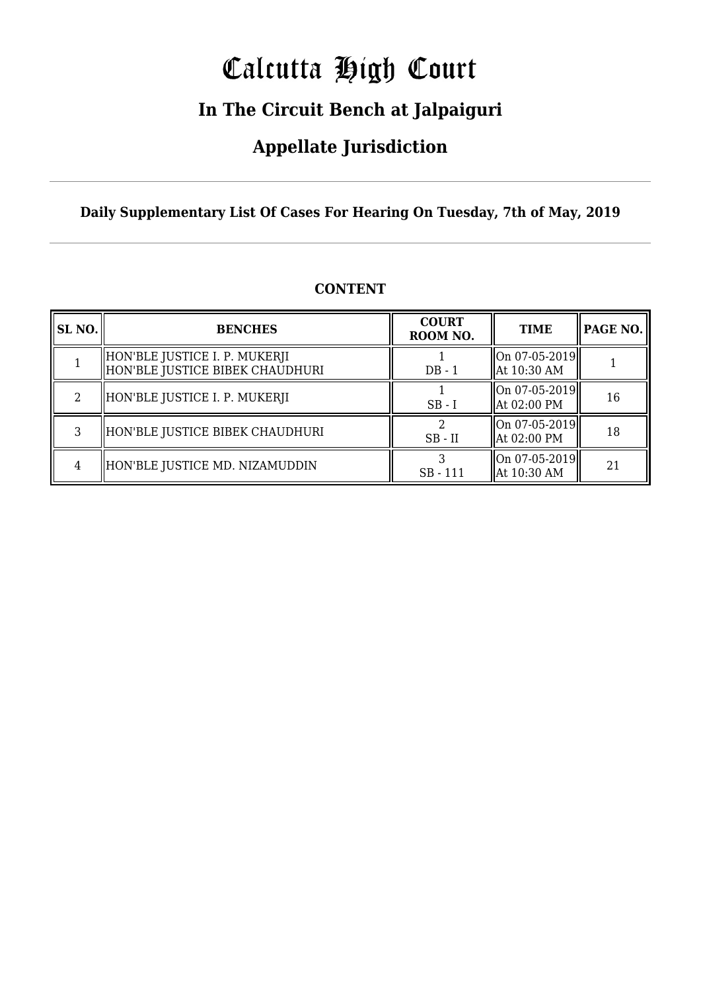# Calcutta High Court

### **In The Circuit Bench at Jalpaiguri**

### **Appellate Jurisdiction**

**Daily Supplementary List Of Cases For Hearing On Tuesday, 7th of May, 2019**

| <b>SL NO.</b>  | <b>BENCHES</b>                                                   | <b>COURT</b><br>ROOM NO. | <b>TIME</b>                                                             | <b>PAGE NO.</b> |
|----------------|------------------------------------------------------------------|--------------------------|-------------------------------------------------------------------------|-----------------|
|                | HON'BLE JUSTICE I. P. MUKERJI<br>HON'BLE JUSTICE BIBEK CHAUDHURI | $DB - 1$                 | $\left\ $ On 07-05-2019 $\right\ $<br>At 10:30 AM                       |                 |
| $\mathfrak{D}$ | HON'BLE JUSTICE I. P. MUKERJI                                    | $SB - I$                 | $\left\  \text{On } 07 - 05 - 2019 \right\ $<br>At 02:00 PM             | 16              |
| 3              | HON'BLE JUSTICE BIBEK CHAUDHURI                                  | $SB$ - $II$              | $\left\  \text{On } 07 - 05 - 2019 \right\ $<br>$\parallel$ At 02:00 PM | 18              |
|                | HON'BLE JUSTICE MD. NIZAMUDDIN                                   | $SB - 111$               | $\left\  \text{On } 07 - 05 - 2019 \right\ $<br>$\parallel$ At 10:30 AM | 21              |

#### **CONTENT**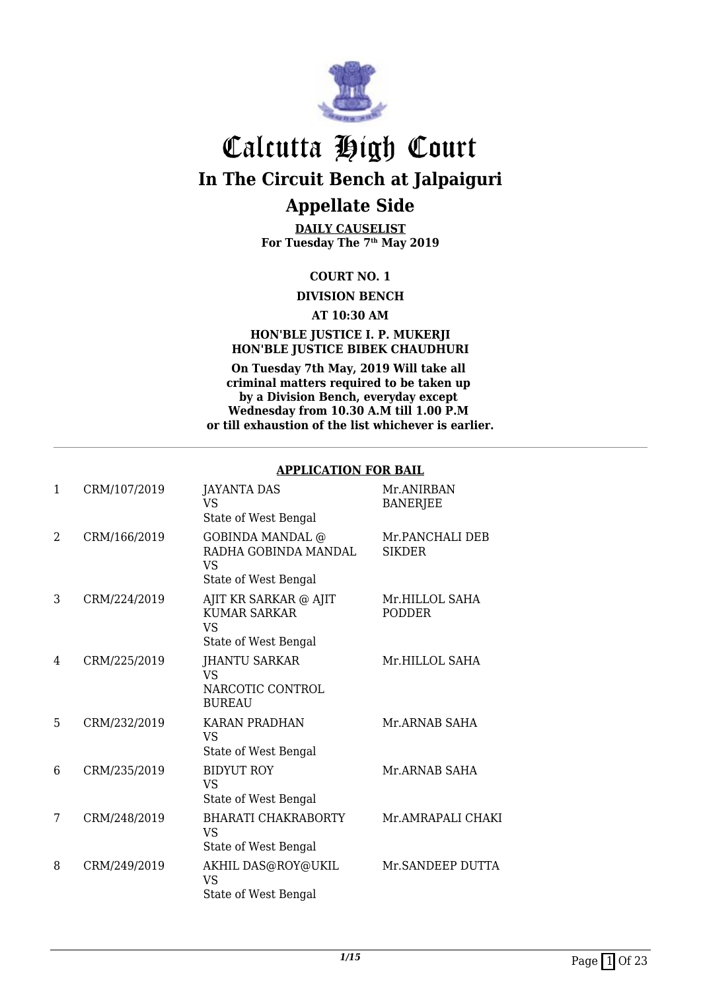

**DAILY CAUSELIST For Tuesday The 7th May 2019**

#### **COURT NO. 1**

**DIVISION BENCH**

**AT 10:30 AM**

#### **HON'BLE JUSTICE I. P. MUKERJI HON'BLE JUSTICE BIBEK CHAUDHURI**

**On Tuesday 7th May, 2019 Will take all criminal matters required to be taken up by a Division Bench, everyday except Wednesday from 10.30 A.M till 1.00 P.M or till exhaustion of the list whichever is earlier.**

#### **APPLICATION FOR BAIL**

| $\mathbf{1}$   | CRM/107/2019 | <b>JAYANTA DAS</b><br>VS<br>State of West Bengal                              | Mr.ANIRBAN<br><b>BANERJEE</b>    |
|----------------|--------------|-------------------------------------------------------------------------------|----------------------------------|
| $\overline{2}$ | CRM/166/2019 | <b>GOBINDA MANDAL</b> @<br>RADHA GOBINDA MANDAL<br>VS<br>State of West Bengal | Mr.PANCHALI DEB<br><b>SIKDER</b> |
| 3              | CRM/224/2019 | AJIT KR SARKAR @ AJIT<br><b>KUMAR SARKAR</b><br>VS<br>State of West Bengal    | Mr.HILLOL SAHA<br><b>PODDER</b>  |
| 4              | CRM/225/2019 | <b>JHANTU SARKAR</b><br>VS<br>NARCOTIC CONTROL<br><b>BUREAU</b>               | Mr.HILLOL SAHA                   |
| 5              | CRM/232/2019 | <b>KARAN PRADHAN</b><br><b>VS</b><br>State of West Bengal                     | Mr.ARNAB SAHA                    |
| 6              | CRM/235/2019 | <b>BIDYUT ROY</b><br>VS<br>State of West Bengal                               | Mr.ARNAB SAHA                    |
| 7              | CRM/248/2019 | <b>BHARATI CHAKRABORTY</b><br><b>VS</b><br>State of West Bengal               | Mr.AMRAPALI CHAKI                |
| 8              | CRM/249/2019 | AKHIL DAS@ROY@UKIL<br>VS<br>State of West Bengal                              | Mr.SANDEEP DUTTA                 |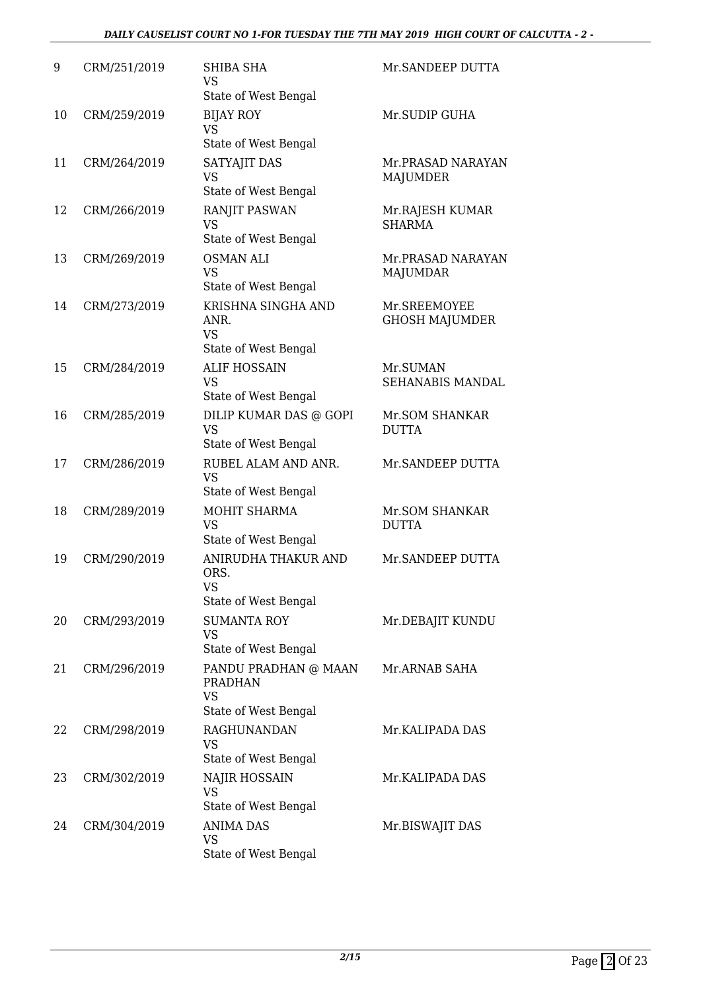#### *DAILY CAUSELIST COURT NO 1-FOR TUESDAY THE 7TH MAY 2019 HIGH COURT OF CALCUTTA - 2 -*

| 9  | CRM/251/2019 | SHIBA SHA<br><b>VS</b><br>State of West Bengal                              | Mr.SANDEEP DUTTA                      |
|----|--------------|-----------------------------------------------------------------------------|---------------------------------------|
| 10 | CRM/259/2019 | <b>BIJAY ROY</b><br><b>VS</b><br>State of West Bengal                       | Mr.SUDIP GUHA                         |
| 11 | CRM/264/2019 | SATYAJIT DAS<br><b>VS</b><br>State of West Bengal                           | Mr.PRASAD NARAYAN<br><b>MAJUMDER</b>  |
| 12 | CRM/266/2019 | <b>RANJIT PASWAN</b><br><b>VS</b><br>State of West Bengal                   | Mr.RAJESH KUMAR<br><b>SHARMA</b>      |
| 13 | CRM/269/2019 | <b>OSMAN ALI</b><br><b>VS</b><br>State of West Bengal                       | Mr.PRASAD NARAYAN<br><b>MAJUMDAR</b>  |
| 14 | CRM/273/2019 | KRISHNA SINGHA AND<br>ANR.<br><b>VS</b><br>State of West Bengal             | Mr.SREEMOYEE<br><b>GHOSH MAJUMDER</b> |
| 15 | CRM/284/2019 | <b>ALIF HOSSAIN</b><br><b>VS</b><br>State of West Bengal                    | Mr.SUMAN<br>SEHANABIS MANDAL          |
| 16 | CRM/285/2019 | DILIP KUMAR DAS @ GOPI<br><b>VS</b><br>State of West Bengal                 | Mr.SOM SHANKAR<br><b>DUTTA</b>        |
| 17 | CRM/286/2019 | RUBEL ALAM AND ANR.<br><b>VS</b><br>State of West Bengal                    | Mr.SANDEEP DUTTA                      |
| 18 | CRM/289/2019 | MOHIT SHARMA<br><b>VS</b><br>State of West Bengal                           | Mr.SOM SHANKAR<br><b>DUTTA</b>        |
| 19 | CRM/290/2019 | ANIRUDHA THAKUR AND<br>ORS.<br><b>VS</b><br>State of West Bengal            | Mr.SANDEEP DUTTA                      |
| 20 | CRM/293/2019 | <b>SUMANTA ROY</b><br><b>VS</b><br>State of West Bengal                     | Mr.DEBAJIT KUNDU                      |
| 21 | CRM/296/2019 | PANDU PRADHAN @ MAAN<br><b>PRADHAN</b><br><b>VS</b><br>State of West Bengal | Mr.ARNAB SAHA                         |
| 22 | CRM/298/2019 | <b>RAGHUNANDAN</b><br><b>VS</b><br>State of West Bengal                     | Mr.KALIPADA DAS                       |
| 23 | CRM/302/2019 | NAJIR HOSSAIN<br><b>VS</b><br>State of West Bengal                          | Mr.KALIPADA DAS                       |
| 24 | CRM/304/2019 | <b>ANIMA DAS</b><br>VS<br>State of West Bengal                              | Mr.BISWAJIT DAS                       |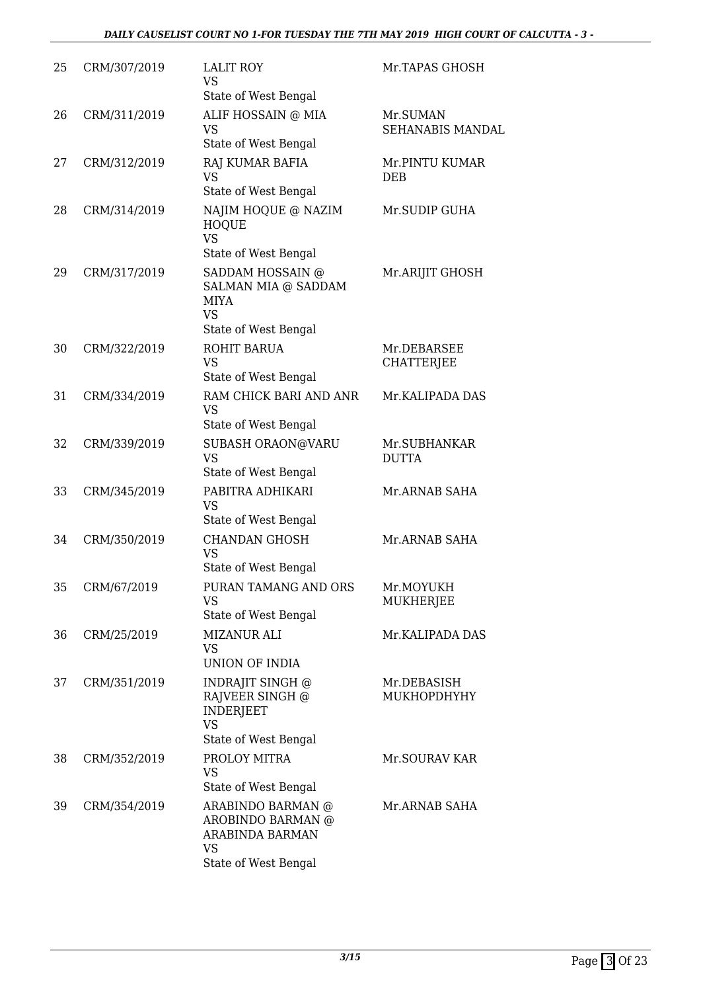| 25 | CRM/307/2019 | <b>LALIT ROY</b><br><b>VS</b><br>State of West Bengal                                              | Mr.TAPAS GHOSH                   |
|----|--------------|----------------------------------------------------------------------------------------------------|----------------------------------|
| 26 | CRM/311/2019 | ALIF HOSSAIN @ MIA<br><b>VS</b><br>State of West Bengal                                            | Mr.SUMAN<br>SEHANABIS MANDAL     |
| 27 | CRM/312/2019 | RAJ KUMAR BAFIA<br><b>VS</b><br>State of West Bengal                                               | Mr.PINTU KUMAR<br>DEB            |
| 28 | CRM/314/2019 | NAJIM HOQUE @ NAZIM<br><b>HOQUE</b><br><b>VS</b>                                                   | Mr.SUDIP GUHA                    |
| 29 | CRM/317/2019 | State of West Bengal<br>SADDAM HOSSAIN @<br><b>SALMAN MIA @ SADDAM</b><br><b>MIYA</b><br><b>VS</b> | Mr.ARIJIT GHOSH                  |
| 30 | CRM/322/2019 | State of West Bengal<br>ROHIT BARUA<br><b>VS</b><br>State of West Bengal                           | Mr.DEBARSEE<br><b>CHATTERJEE</b> |
| 31 | CRM/334/2019 | RAM CHICK BARI AND ANR<br><b>VS</b><br>State of West Bengal                                        | Mr.KALIPADA DAS                  |
| 32 | CRM/339/2019 | SUBASH ORAON@VARU<br>VS<br>State of West Bengal                                                    | Mr.SUBHANKAR<br><b>DUTTA</b>     |
| 33 | CRM/345/2019 | PABITRA ADHIKARI<br><b>VS</b><br>State of West Bengal                                              | Mr.ARNAB SAHA                    |
| 34 | CRM/350/2019 | <b>CHANDAN GHOSH</b><br><b>VS</b><br>State of West Bengal                                          | Mr.ARNAB SAHA                    |
| 35 | CRM/67/2019  | PURAN TAMANG AND ORS<br>VS<br>State of West Bengal                                                 | Mr.MOYUKH<br>MUKHERJEE           |
| 36 | CRM/25/2019  | MIZANUR ALI<br><b>VS</b><br>UNION OF INDIA                                                         | Mr.KALIPADA DAS                  |
| 37 | CRM/351/2019 | INDRAJIT SINGH @<br>RAJVEER SINGH @<br><b>INDERJEET</b><br><b>VS</b><br>State of West Bengal       | Mr.DEBASISH<br>MUKHOPDHYHY       |
| 38 | CRM/352/2019 | PROLOY MITRA<br><b>VS</b><br>State of West Bengal                                                  | Mr.SOURAV KAR                    |
| 39 | CRM/354/2019 | ARABINDO BARMAN @<br>AROBINDO BARMAN @<br>ARABINDA BARMAN<br>VS<br>State of West Bengal            | Mr.ARNAB SAHA                    |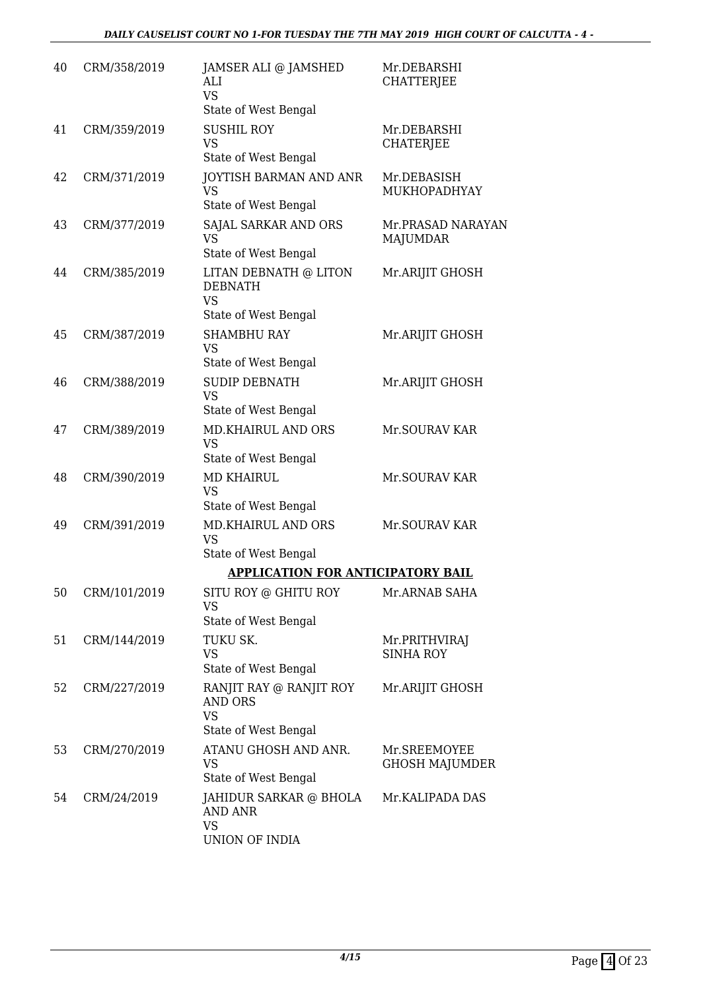| 40 | CRM/358/2019 | JAMSER ALI @ JAMSHED<br>ALI<br><b>VS</b><br>State of West Bengal               | Mr.DEBARSHI<br><b>CHATTERJEE</b>      |
|----|--------------|--------------------------------------------------------------------------------|---------------------------------------|
| 41 | CRM/359/2019 | <b>SUSHIL ROY</b><br><b>VS</b><br>State of West Bengal                         | Mr.DEBARSHI<br>CHATERJEE              |
| 42 | CRM/371/2019 | <b>JOYTISH BARMAN AND ANR</b><br><b>VS</b><br>State of West Bengal             | Mr.DEBASISH<br>MUKHOPADHYAY           |
| 43 | CRM/377/2019 | SAJAL SARKAR AND ORS<br><b>VS</b><br>State of West Bengal                      | Mr.PRASAD NARAYAN<br>MAJUMDAR         |
| 44 | CRM/385/2019 | LITAN DEBNATH @ LITON<br><b>DEBNATH</b><br><b>VS</b><br>State of West Bengal   | Mr.ARIJIT GHOSH                       |
| 45 | CRM/387/2019 | <b>SHAMBHU RAY</b><br><b>VS</b><br>State of West Bengal                        | Mr.ARIJIT GHOSH                       |
| 46 | CRM/388/2019 | <b>SUDIP DEBNATH</b><br><b>VS</b><br>State of West Bengal                      | Mr.ARIJIT GHOSH                       |
| 47 | CRM/389/2019 | MD.KHAIRUL AND ORS<br><b>VS</b><br>State of West Bengal                        | Mr.SOURAV KAR                         |
| 48 | CRM/390/2019 | <b>MD KHAIRUL</b><br><b>VS</b><br>State of West Bengal                         | Mr.SOURAV KAR                         |
| 49 | CRM/391/2019 | <b>MD.KHAIRUL AND ORS</b><br><b>VS</b><br>State of West Bengal                 | Mr.SOURAV KAR                         |
|    |              | <b>APPLICATION FOR ANTICIPATORY BAIL</b>                                       |                                       |
| 50 | CRM/101/2019 | SITU ROY @ GHITU ROY<br><b>VS</b><br>State of West Bengal                      | Mr.ARNAB SAHA                         |
| 51 | CRM/144/2019 | TUKU SK.<br><b>VS</b><br>State of West Bengal                                  | Mr.PRITHVIRAJ<br><b>SINHA ROY</b>     |
| 52 | CRM/227/2019 | RANJIT RAY @ RANJIT ROY<br><b>AND ORS</b><br><b>VS</b><br>State of West Bengal | Mr.ARIJIT GHOSH                       |
| 53 | CRM/270/2019 | ATANU GHOSH AND ANR.<br><b>VS</b><br>State of West Bengal                      | Mr.SREEMOYEE<br><b>GHOSH MAJUMDER</b> |
| 54 | CRM/24/2019  | JAHIDUR SARKAR @ BHOLA<br><b>AND ANR</b><br><b>VS</b><br>UNION OF INDIA        | Mr.KALIPADA DAS                       |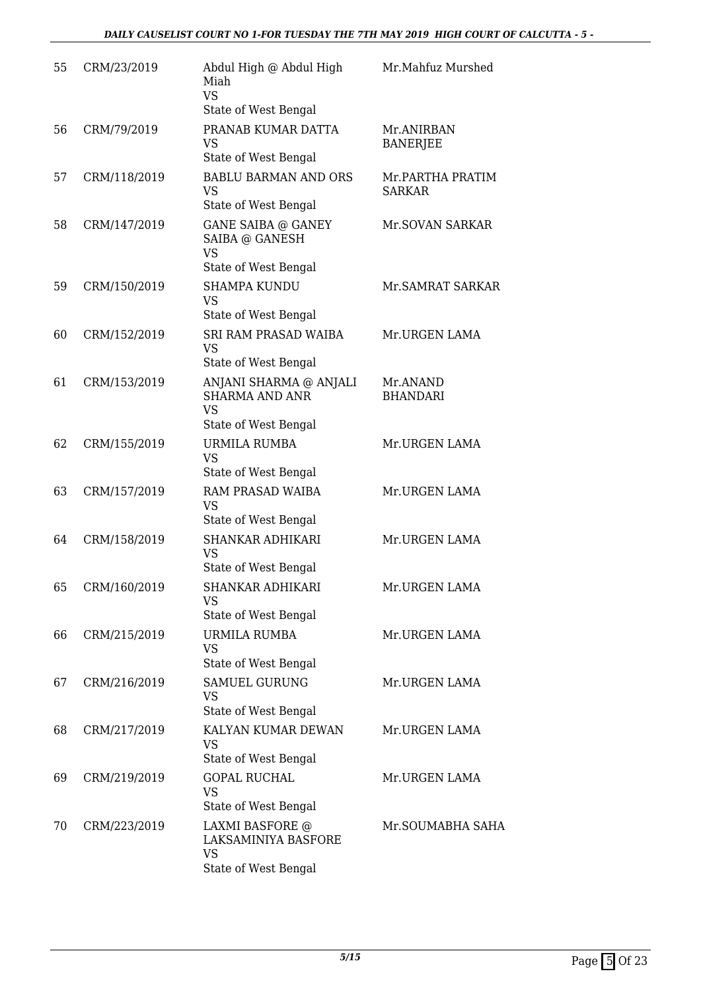| 55 | CRM/23/2019  | Abdul High @ Abdul High<br>Miah<br><b>VS</b><br>State of West Bengal                 | Mr.Mahfuz Murshed                 |
|----|--------------|--------------------------------------------------------------------------------------|-----------------------------------|
| 56 | CRM/79/2019  | PRANAB KUMAR DATTA<br><b>VS</b><br>State of West Bengal                              | Mr.ANIRBAN<br><b>BANERJEE</b>     |
| 57 | CRM/118/2019 | <b>BABLU BARMAN AND ORS</b><br><b>VS</b><br>State of West Bengal                     | Mr.PARTHA PRATIM<br><b>SARKAR</b> |
| 58 | CRM/147/2019 | <b>GANE SAIBA @ GANEY</b><br>SAIBA @ GANESH<br><b>VS</b><br>State of West Bengal     | Mr.SOVAN SARKAR                   |
| 59 | CRM/150/2019 | <b>SHAMPA KUNDU</b><br><b>VS</b><br>State of West Bengal                             | Mr. SAMRAT SARKAR                 |
| 60 | CRM/152/2019 | <b>SRI RAM PRASAD WAIBA</b><br>VS<br>State of West Bengal                            | Mr.URGEN LAMA                     |
| 61 | CRM/153/2019 | ANJANI SHARMA @ ANJALI<br><b>SHARMA AND ANR</b><br><b>VS</b><br>State of West Bengal | Mr.ANAND<br><b>BHANDARI</b>       |
| 62 | CRM/155/2019 | <b>URMILA RUMBA</b><br><b>VS</b><br>State of West Bengal                             | Mr.URGEN LAMA                     |
| 63 | CRM/157/2019 | RAM PRASAD WAIBA<br><b>VS</b><br>State of West Bengal                                | Mr.URGEN LAMA                     |
| 64 | CRM/158/2019 | SHANKAR ADHIKARI<br><b>VS</b><br>State of West Bengal                                | Mr.URGEN LAMA                     |
| 65 | CRM/160/2019 | <b>SHANKAR ADHIKARI</b><br>VS<br>State of West Bengal                                | Mr.URGEN LAMA                     |
| 66 | CRM/215/2019 | URMILA RUMBA<br><b>VS</b><br>State of West Bengal                                    | Mr.URGEN LAMA                     |
| 67 | CRM/216/2019 | <b>SAMUEL GURUNG</b><br>VS<br>State of West Bengal                                   | Mr.URGEN LAMA                     |
| 68 | CRM/217/2019 | KALYAN KUMAR DEWAN<br><b>VS</b><br>State of West Bengal                              | Mr.URGEN LAMA                     |
| 69 | CRM/219/2019 | <b>GOPAL RUCHAL</b><br><b>VS</b><br>State of West Bengal                             | Mr.URGEN LAMA                     |
| 70 | CRM/223/2019 | LAXMI BASFORE @<br>LAKSAMINIYA BASFORE<br><b>VS</b><br>State of West Bengal          | Mr.SOUMABHA SAHA                  |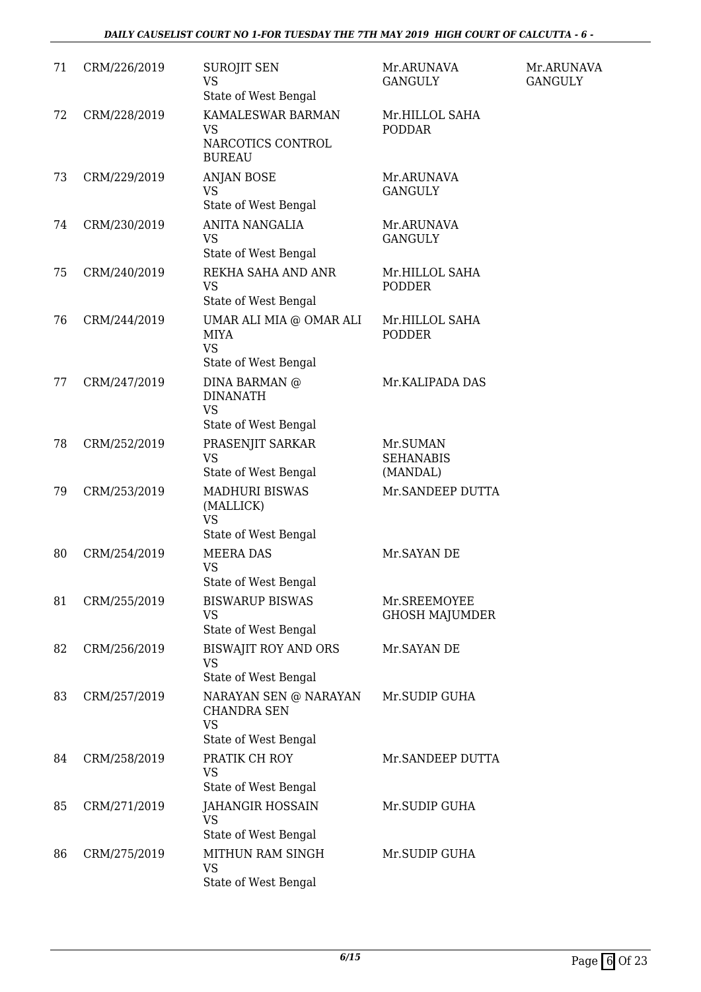#### *DAILY CAUSELIST COURT NO 1-FOR TUESDAY THE 7TH MAY 2019 HIGH COURT OF CALCUTTA - 6 -*

| 71 | CRM/226/2019 | <b>SUROJIT SEN</b><br>VS<br>State of West Bengal                                 | Mr.ARUNAVA<br><b>GANGULY</b>             | Mr.ARUNAVA<br><b>GANGULY</b> |
|----|--------------|----------------------------------------------------------------------------------|------------------------------------------|------------------------------|
| 72 | CRM/228/2019 | KAMALESWAR BARMAN<br><b>VS</b><br>NARCOTICS CONTROL<br><b>BUREAU</b>             | Mr.HILLOL SAHA<br><b>PODDAR</b>          |                              |
| 73 | CRM/229/2019 | <b>ANJAN BOSE</b><br><b>VS</b><br>State of West Bengal                           | Mr.ARUNAVA<br><b>GANGULY</b>             |                              |
| 74 | CRM/230/2019 | <b>ANITA NANGALIA</b><br><b>VS</b><br>State of West Bengal                       | Mr.ARUNAVA<br><b>GANGULY</b>             |                              |
| 75 | CRM/240/2019 | REKHA SAHA AND ANR<br><b>VS</b><br>State of West Bengal                          | Mr.HILLOL SAHA<br><b>PODDER</b>          |                              |
| 76 | CRM/244/2019 | UMAR ALI MIA @ OMAR ALI<br><b>MIYA</b><br><b>VS</b><br>State of West Bengal      | Mr.HILLOL SAHA<br><b>PODDER</b>          |                              |
| 77 | CRM/247/2019 | DINA BARMAN @<br><b>DINANATH</b><br><b>VS</b><br>State of West Bengal            | Mr.KALIPADA DAS                          |                              |
| 78 | CRM/252/2019 | PRASENJIT SARKAR<br><b>VS</b><br>State of West Bengal                            | Mr.SUMAN<br><b>SEHANABIS</b><br>(MANDAL) |                              |
| 79 | CRM/253/2019 | <b>MADHURI BISWAS</b><br>(MALLICK)<br>VS<br>State of West Bengal                 | Mr.SANDEEP DUTTA                         |                              |
| 80 | CRM/254/2019 | <b>MEERA DAS</b><br><b>VS</b><br>State of West Bengal                            | Mr. SAYAN DE                             |                              |
| 81 | CRM/255/2019 | <b>BISWARUP BISWAS</b><br><b>VS</b><br>State of West Bengal                      | Mr.SREEMOYEE<br><b>GHOSH MAJUMDER</b>    |                              |
| 82 | CRM/256/2019 | <b>BISWAJIT ROY AND ORS</b><br><b>VS</b><br>State of West Bengal                 | Mr. SAYAN DE                             |                              |
| 83 | CRM/257/2019 | NARAYAN SEN @ NARAYAN<br><b>CHANDRA SEN</b><br><b>VS</b><br>State of West Bengal | Mr.SUDIP GUHA                            |                              |
| 84 | CRM/258/2019 | PRATIK CH ROY<br><b>VS</b><br>State of West Bengal                               | Mr.SANDEEP DUTTA                         |                              |
| 85 | CRM/271/2019 | <b>JAHANGIR HOSSAIN</b><br><b>VS</b><br>State of West Bengal                     | Mr.SUDIP GUHA                            |                              |
| 86 | CRM/275/2019 | MITHUN RAM SINGH<br><b>VS</b><br>State of West Bengal                            | Mr.SUDIP GUHA                            |                              |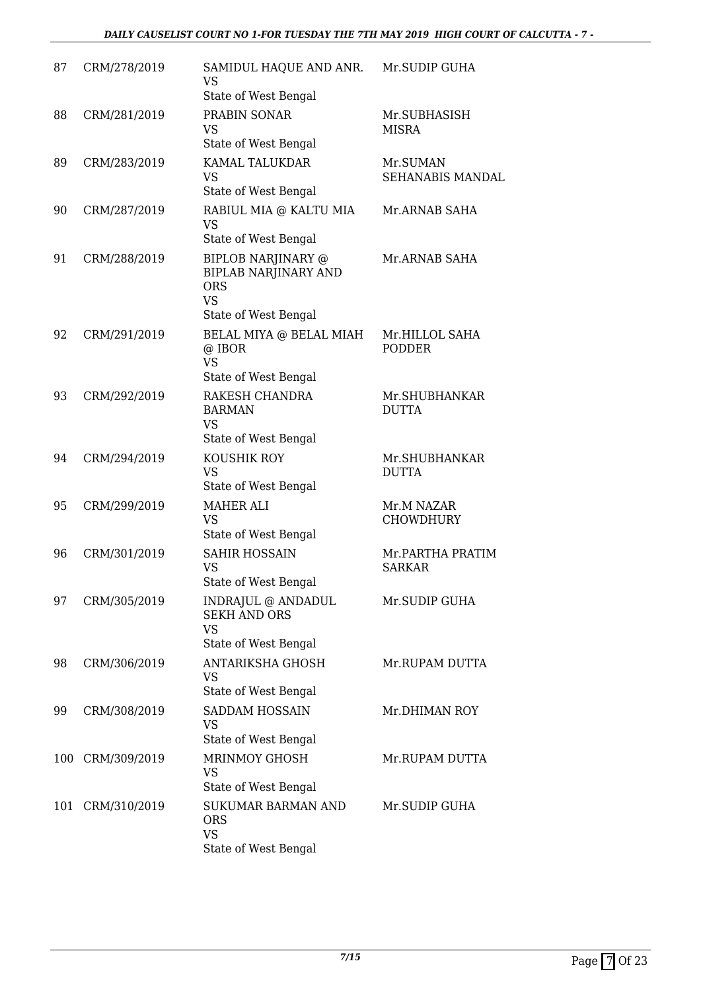| 87  | CRM/278/2019 | SAMIDUL HAQUE AND ANR.<br><b>VS</b><br>State of West Bengal                                                 | Mr.SUDIP GUHA                       |
|-----|--------------|-------------------------------------------------------------------------------------------------------------|-------------------------------------|
| 88  | CRM/281/2019 | PRABIN SONAR<br><b>VS</b><br>State of West Bengal                                                           | Mr.SUBHASISH<br><b>MISRA</b>        |
| 89  | CRM/283/2019 | KAMAL TALUKDAR<br><b>VS</b><br>State of West Bengal                                                         | Mr.SUMAN<br><b>SEHANABIS MANDAL</b> |
| 90  | CRM/287/2019 | RABIUL MIA @ KALTU MIA<br><b>VS</b><br>State of West Bengal                                                 | Mr.ARNAB SAHA                       |
| 91  | CRM/288/2019 | <b>BIPLOB NARJINARY @</b><br><b>BIPLAB NARJINARY AND</b><br><b>ORS</b><br><b>VS</b><br>State of West Bengal | Mr.ARNAB SAHA                       |
| 92  | CRM/291/2019 | BELAL MIYA @ BELAL MIAH<br>@ IBOR<br><b>VS</b><br>State of West Bengal                                      | Mr.HILLOL SAHA<br><b>PODDER</b>     |
| 93  | CRM/292/2019 | RAKESH CHANDRA<br><b>BARMAN</b><br><b>VS</b><br>State of West Bengal                                        | Mr.SHUBHANKAR<br><b>DUTTA</b>       |
| 94  | CRM/294/2019 | KOUSHIK ROY<br><b>VS</b><br>State of West Bengal                                                            | Mr.SHUBHANKAR<br><b>DUTTA</b>       |
| 95  | CRM/299/2019 | <b>MAHER ALI</b><br><b>VS</b><br>State of West Bengal                                                       | Mr.M NAZAR<br><b>CHOWDHURY</b>      |
| 96  | CRM/301/2019 | <b>SAHIR HOSSAIN</b><br><b>VS</b><br>State of West Bengal                                                   | Mr.PARTHA PRATIM<br><b>SARKAR</b>   |
| 97  | CRM/305/2019 | INDRAJUL @ ANDADUL<br><b>SEKH AND ORS</b><br><b>VS</b><br>State of West Bengal                              | Mr.SUDIP GUHA                       |
| 98  | CRM/306/2019 | <b>ANTARIKSHA GHOSH</b><br><b>VS</b><br>State of West Bengal                                                | Mr.RUPAM DUTTA                      |
| 99  | CRM/308/2019 | SADDAM HOSSAIN<br><b>VS</b><br>State of West Bengal                                                         | Mr.DHIMAN ROY                       |
| 100 | CRM/309/2019 | <b>MRINMOY GHOSH</b><br><b>VS</b><br>State of West Bengal                                                   | Mr.RUPAM DUTTA                      |
| 101 | CRM/310/2019 | <b>SUKUMAR BARMAN AND</b><br><b>ORS</b><br><b>VS</b><br>State of West Bengal                                | Mr.SUDIP GUHA                       |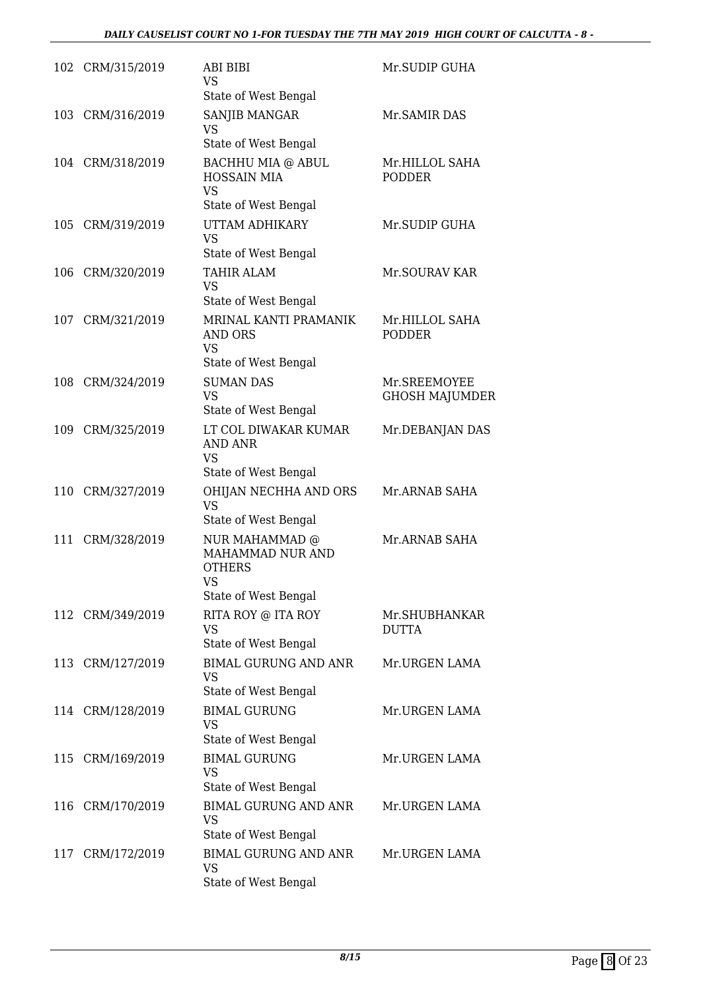|     | 102 CRM/315/2019 | ABI BIBI<br>VS                                                                     | Mr.SUDIP GUHA                         |
|-----|------------------|------------------------------------------------------------------------------------|---------------------------------------|
|     |                  | State of West Bengal                                                               |                                       |
| 103 | CRM/316/2019     | SANJIB MANGAR<br><b>VS</b><br>State of West Bengal                                 | Mr. SAMIR DAS                         |
|     | 104 CRM/318/2019 | BACHHU MIA @ ABUL<br><b>HOSSAIN MIA</b><br><b>VS</b>                               | Mr.HILLOL SAHA<br><b>PODDER</b>       |
|     |                  | State of West Bengal                                                               |                                       |
| 105 | CRM/319/2019     | UTTAM ADHIKARY<br><b>VS</b><br>State of West Bengal                                | Mr.SUDIP GUHA                         |
|     | 106 CRM/320/2019 | <b>TAHIR ALAM</b><br><b>VS</b><br>State of West Bengal                             | Mr.SOURAV KAR                         |
| 107 | CRM/321/2019     | MRINAL KANTI PRAMANIK<br>AND ORS<br><b>VS</b>                                      | Mr.HILLOL SAHA<br><b>PODDER</b>       |
|     |                  | State of West Bengal                                                               |                                       |
| 108 | CRM/324/2019     | <b>SUMAN DAS</b><br><b>VS</b>                                                      | Mr.SREEMOYEE<br><b>GHOSH MAJUMDER</b> |
|     |                  | State of West Bengal                                                               |                                       |
| 109 | CRM/325/2019     | LT COL DIWAKAR KUMAR<br><b>AND ANR</b><br><b>VS</b><br>State of West Bengal        | Mr.DEBANJAN DAS                       |
| 110 | CRM/327/2019     | OHIJAN NECHHA AND ORS<br><b>VS</b>                                                 | Mr.ARNAB SAHA                         |
|     |                  | State of West Bengal                                                               |                                       |
| 111 | CRM/328/2019     | NUR MAHAMMAD @<br>MAHAMMAD NUR AND<br><b>OTHERS</b><br>VS.<br>State of West Bengal | Mr.ARNAB SAHA                         |
|     | 112 CRM/349/2019 | RITA ROY @ ITA ROY                                                                 | Mr.SHUBHANKAR                         |
|     |                  | <b>VS</b><br>State of West Bengal                                                  | <b>DUTTA</b>                          |
|     | 113 CRM/127/2019 | <b>BIMAL GURUNG AND ANR</b><br>VS<br>State of West Bengal                          | Mr.URGEN LAMA                         |
|     | 114 CRM/128/2019 | <b>BIMAL GURUNG</b><br>VS                                                          | Mr.URGEN LAMA                         |
|     |                  | State of West Bengal                                                               |                                       |
|     | 115 CRM/169/2019 | <b>BIMAL GURUNG</b><br><b>VS</b><br>State of West Bengal                           | Mr.URGEN LAMA                         |
| 116 | CRM/170/2019     | <b>BIMAL GURUNG AND ANR</b><br>VS                                                  | Mr.URGEN LAMA                         |
|     |                  | State of West Bengal                                                               |                                       |
| 117 | CRM/172/2019     | <b>BIMAL GURUNG AND ANR</b><br>VS<br>State of West Bengal                          | Mr.URGEN LAMA                         |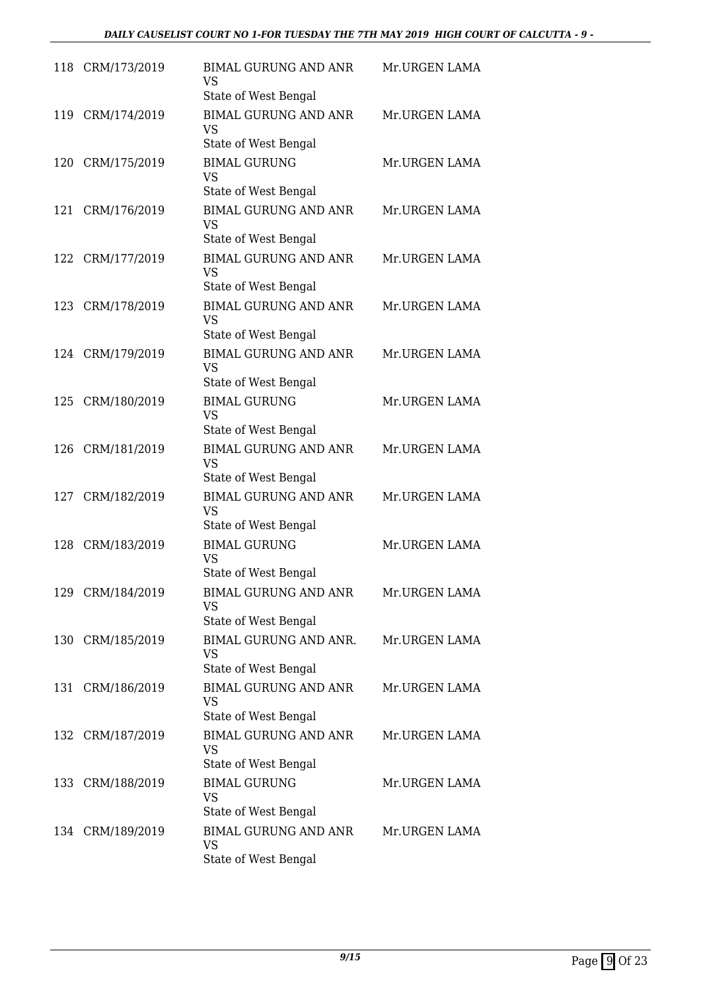|     | 118 CRM/173/2019 | <b>BIMAL GURUNG AND ANR</b><br>VS<br>State of West Bengal        | Mr.URGEN LAMA |
|-----|------------------|------------------------------------------------------------------|---------------|
| 119 | CRM/174/2019     | <b>BIMAL GURUNG AND ANR</b><br><b>VS</b><br>State of West Bengal | Mr.URGEN LAMA |
| 120 | CRM/175/2019     | <b>BIMAL GURUNG</b><br><b>VS</b><br>State of West Bengal         | Mr.URGEN LAMA |
| 121 | CRM/176/2019     | <b>BIMAL GURUNG AND ANR</b><br><b>VS</b><br>State of West Bengal | Mr.URGEN LAMA |
| 122 | CRM/177/2019     | <b>BIMAL GURUNG AND ANR</b><br><b>VS</b><br>State of West Bengal | Mr.URGEN LAMA |
|     | 123 CRM/178/2019 | <b>BIMAL GURUNG AND ANR</b><br><b>VS</b><br>State of West Bengal | Mr.URGEN LAMA |
|     | 124 CRM/179/2019 | <b>BIMAL GURUNG AND ANR</b><br><b>VS</b><br>State of West Bengal | Mr.URGEN LAMA |
| 125 | CRM/180/2019     | <b>BIMAL GURUNG</b><br><b>VS</b><br>State of West Bengal         | Mr.URGEN LAMA |
| 126 | CRM/181/2019     | <b>BIMAL GURUNG AND ANR</b><br><b>VS</b><br>State of West Bengal | Mr.URGEN LAMA |
| 127 | CRM/182/2019     | <b>BIMAL GURUNG AND ANR</b><br><b>VS</b><br>State of West Bengal | Mr.URGEN LAMA |
| 128 | CRM/183/2019     | <b>BIMAL GURUNG</b><br><b>VS</b><br>State of West Bengal         | Mr.URGEN LAMA |
|     | 129 CRM/184/2019 | <b>BIMAL GURUNG AND ANR</b><br>VS<br>State of West Bengal        | Mr.URGEN LAMA |
|     | 130 CRM/185/2019 | <b>BIMAL GURUNG AND ANR.</b><br>VS<br>State of West Bengal       | Mr.URGEN LAMA |
| 131 | CRM/186/2019     | <b>BIMAL GURUNG AND ANR</b><br><b>VS</b><br>State of West Bengal | Mr.URGEN LAMA |
|     | 132 CRM/187/2019 | <b>BIMAL GURUNG AND ANR</b><br><b>VS</b><br>State of West Bengal | Mr.URGEN LAMA |
|     | 133 CRM/188/2019 | <b>BIMAL GURUNG</b><br><b>VS</b><br>State of West Bengal         | Mr.URGEN LAMA |
|     | 134 CRM/189/2019 | <b>BIMAL GURUNG AND ANR</b><br>VS<br>State of West Bengal        | Mr.URGEN LAMA |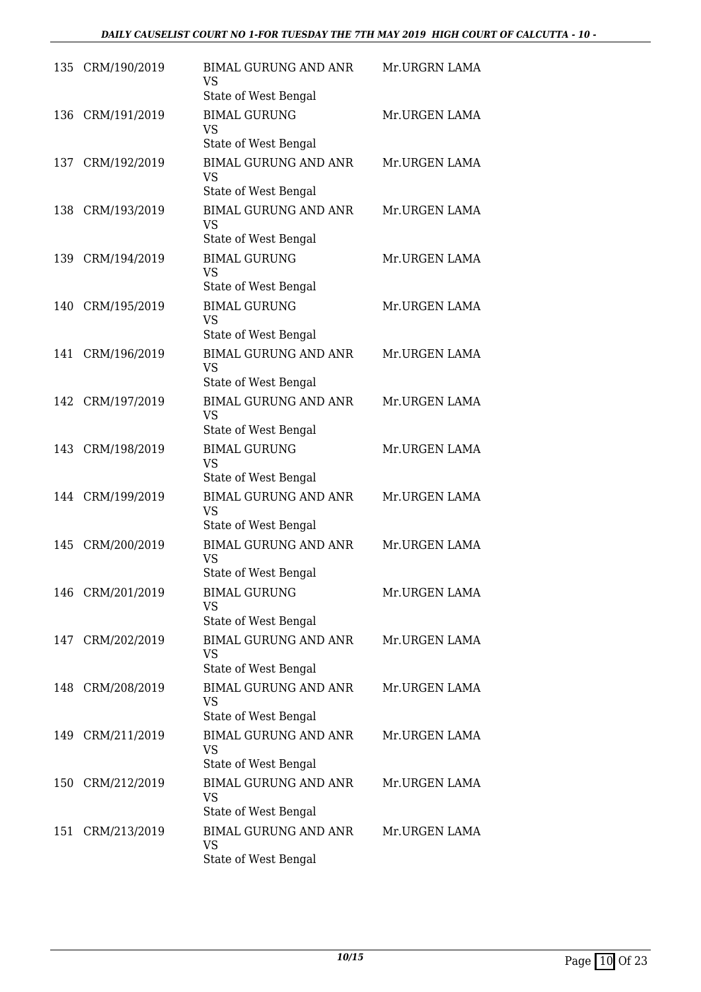|     | 135 CRM/190/2019 | <b>BIMAL GURUNG AND ANR</b><br><b>VS</b>                         | Mr.URGRN LAMA |
|-----|------------------|------------------------------------------------------------------|---------------|
| 136 | CRM/191/2019     | State of West Bengal<br><b>BIMAL GURUNG</b><br><b>VS</b>         | Mr.URGEN LAMA |
|     |                  | State of West Bengal                                             |               |
|     | 137 CRM/192/2019 | <b>BIMAL GURUNG AND ANR</b><br><b>VS</b><br>State of West Bengal | Mr.URGEN LAMA |
| 138 | CRM/193/2019     | <b>BIMAL GURUNG AND ANR</b><br><b>VS</b>                         | Mr.URGEN LAMA |
| 139 | CRM/194/2019     | State of West Bengal<br><b>BIMAL GURUNG</b><br><b>VS</b>         | Mr.URGEN LAMA |
|     | 140 CRM/195/2019 | State of West Bengal<br><b>BIMAL GURUNG</b><br><b>VS</b>         | Mr.URGEN LAMA |
|     |                  | State of West Bengal                                             |               |
| 141 | CRM/196/2019     | <b>BIMAL GURUNG AND ANR</b><br><b>VS</b>                         | Mr.URGEN LAMA |
|     |                  | State of West Bengal                                             |               |
|     | 142 CRM/197/2019 | <b>BIMAL GURUNG AND ANR</b><br><b>VS</b><br>State of West Bengal | Mr.URGEN LAMA |
| 143 | CRM/198/2019     | <b>BIMAL GURUNG</b><br><b>VS</b><br>State of West Bengal         | Mr.URGEN LAMA |
|     | 144 CRM/199/2019 | <b>BIMAL GURUNG AND ANR</b><br><b>VS</b>                         | Mr.URGEN LAMA |
| 145 | CRM/200/2019     | State of West Bengal<br><b>BIMAL GURUNG AND ANR</b><br><b>VS</b> | Mr.URGEN LAMA |
|     |                  | State of West Bengal                                             |               |
|     | 146 CRM/201/2019 | <b>BIMAL GURUNG</b><br>VS.                                       | Mr.URGEN LAMA |
|     |                  | State of West Bengal                                             |               |
|     | 147 CRM/202/2019 | <b>BIMAL GURUNG AND ANR</b><br><b>VS</b><br>State of West Bengal | Mr.URGEN LAMA |
|     | 148 CRM/208/2019 | <b>BIMAL GURUNG AND ANR</b><br><b>VS</b><br>State of West Bengal | Mr.URGEN LAMA |
|     | 149 CRM/211/2019 | <b>BIMAL GURUNG AND ANR</b><br><b>VS</b>                         | Mr.URGEN LAMA |
|     | 150 CRM/212/2019 | State of West Bengal<br><b>BIMAL GURUNG AND ANR</b><br><b>VS</b> | Mr.URGEN LAMA |
|     |                  | State of West Bengal                                             |               |
| 151 | CRM/213/2019     | <b>BIMAL GURUNG AND ANR</b><br><b>VS</b><br>State of West Bengal | Mr.URGEN LAMA |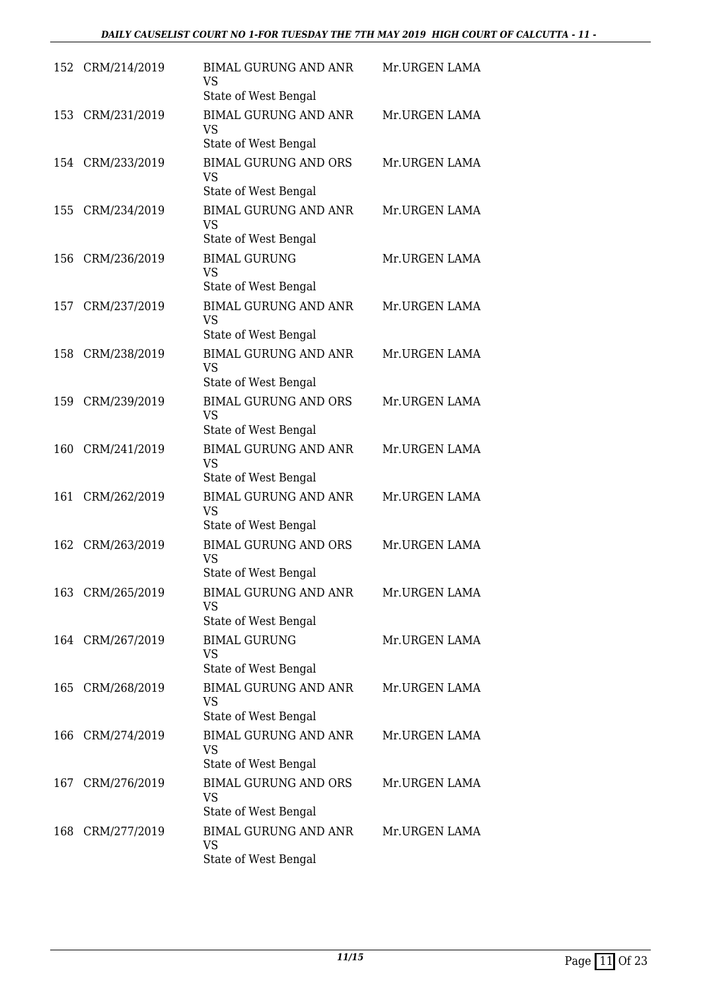| 152 | CRM/214/2019     | <b>BIMAL GURUNG AND ANR</b><br><b>VS</b><br>State of West Bengal | Mr.URGEN LAMA |
|-----|------------------|------------------------------------------------------------------|---------------|
| 153 | CRM/231/2019     | <b>BIMAL GURUNG AND ANR</b><br><b>VS</b><br>State of West Bengal | Mr.URGEN LAMA |
|     | 154 CRM/233/2019 | <b>BIMAL GURUNG AND ORS</b><br><b>VS</b><br>State of West Bengal | Mr.URGEN LAMA |
| 155 | CRM/234/2019     | <b>BIMAL GURUNG AND ANR</b><br><b>VS</b><br>State of West Bengal | Mr.URGEN LAMA |
| 156 | CRM/236/2019     | <b>BIMAL GURUNG</b><br>VS<br>State of West Bengal                | Mr.URGEN LAMA |
| 157 | CRM/237/2019     | <b>BIMAL GURUNG AND ANR</b><br>VS<br>State of West Bengal        | Mr.URGEN LAMA |
| 158 | CRM/238/2019     | <b>BIMAL GURUNG AND ANR</b><br><b>VS</b><br>State of West Bengal | Mr.URGEN LAMA |
| 159 | CRM/239/2019     | <b>BIMAL GURUNG AND ORS</b><br><b>VS</b><br>State of West Bengal | Mr.URGEN LAMA |
| 160 | CRM/241/2019     | <b>BIMAL GURUNG AND ANR</b><br><b>VS</b><br>State of West Bengal | Mr.URGEN LAMA |
| 161 | CRM/262/2019     | <b>BIMAL GURUNG AND ANR</b><br><b>VS</b><br>State of West Bengal | Mr.URGEN LAMA |
| 162 | CRM/263/2019     | <b>BIMAL GURUNG AND ORS</b><br><b>VS</b><br>State of West Bengal | Mr.URGEN LAMA |
|     | 163 CRM/265/2019 | <b>BIMAL GURUNG AND ANR</b><br>VS.<br>State of West Bengal       | Mr.URGEN LAMA |
|     | 164 CRM/267/2019 | <b>BIMAL GURUNG</b><br>VS<br>State of West Bengal                | Mr.URGEN LAMA |
| 165 | CRM/268/2019     | <b>BIMAL GURUNG AND ANR</b><br>VS.<br>State of West Bengal       | Mr.URGEN LAMA |
|     | 166 CRM/274/2019 | <b>BIMAL GURUNG AND ANR</b><br>VS<br>State of West Bengal        | Mr.URGEN LAMA |
| 167 | CRM/276/2019     | <b>BIMAL GURUNG AND ORS</b><br>VS.<br>State of West Bengal       | Mr.URGEN LAMA |
| 168 | CRM/277/2019     | <b>BIMAL GURUNG AND ANR</b><br>VS<br>State of West Bengal        | Mr.URGEN LAMA |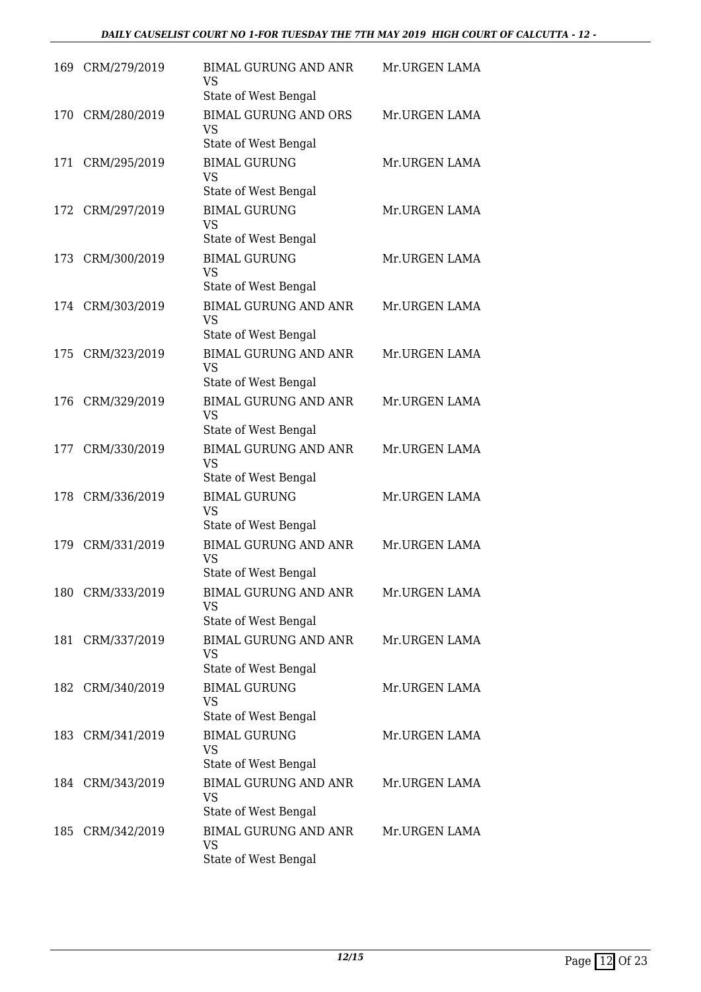| 169 | CRM/279/2019     | <b>BIMAL GURUNG AND ANR</b><br><b>VS</b><br>State of West Bengal                   | Mr.URGEN LAMA |
|-----|------------------|------------------------------------------------------------------------------------|---------------|
| 170 | CRM/280/2019     | <b>BIMAL GURUNG AND ORS</b><br><b>VS</b><br>State of West Bengal                   | Mr.URGEN LAMA |
|     | 171 CRM/295/2019 | <b>BIMAL GURUNG</b><br><b>VS</b><br>State of West Bengal                           | Mr.URGEN LAMA |
| 172 | CRM/297/2019     | <b>BIMAL GURUNG</b><br><b>VS</b><br>State of West Bengal                           | Mr.URGEN LAMA |
|     | 173 CRM/300/2019 | <b>BIMAL GURUNG</b><br><b>VS</b><br>State of West Bengal                           | Mr.URGEN LAMA |
|     | 174 CRM/303/2019 | <b>BIMAL GURUNG AND ANR</b><br>VS<br>State of West Bengal                          | Mr.URGEN LAMA |
| 175 | CRM/323/2019     | <b>BIMAL GURUNG AND ANR</b><br><b>VS</b>                                           | Mr.URGEN LAMA |
| 176 | CRM/329/2019     | State of West Bengal<br><b>BIMAL GURUNG AND ANR</b><br>VS.<br>State of West Bengal | Mr.URGEN LAMA |
| 177 | CRM/330/2019     | <b>BIMAL GURUNG AND ANR</b><br><b>VS</b><br>State of West Bengal                   | Mr.URGEN LAMA |
| 178 | CRM/336/2019     | <b>BIMAL GURUNG</b><br><b>VS</b><br>State of West Bengal                           | Mr.URGEN LAMA |
| 179 | CRM/331/2019     | <b>BIMAL GURUNG AND ANR</b><br><b>VS</b><br>State of West Bengal                   | Mr.URGEN LAMA |
|     | 180 CRM/333/2019 | <b>BIMAL GURUNG AND ANR</b><br>VS.<br>State of West Bengal                         | Mr.URGEN LAMA |
|     | 181 CRM/337/2019 | <b>BIMAL GURUNG AND ANR</b><br>VS<br>State of West Bengal                          | Mr.URGEN LAMA |
| 182 | CRM/340/2019     | <b>BIMAL GURUNG</b><br>VS.<br>State of West Bengal                                 | Mr.URGEN LAMA |
|     | 183 CRM/341/2019 | <b>BIMAL GURUNG</b><br>VS<br>State of West Bengal                                  | Mr.URGEN LAMA |
|     | 184 CRM/343/2019 | <b>BIMAL GURUNG AND ANR</b><br>VS.<br>State of West Bengal                         | Mr.URGEN LAMA |
| 185 | CRM/342/2019     | <b>BIMAL GURUNG AND ANR</b><br>VS<br>State of West Bengal                          | Mr.URGEN LAMA |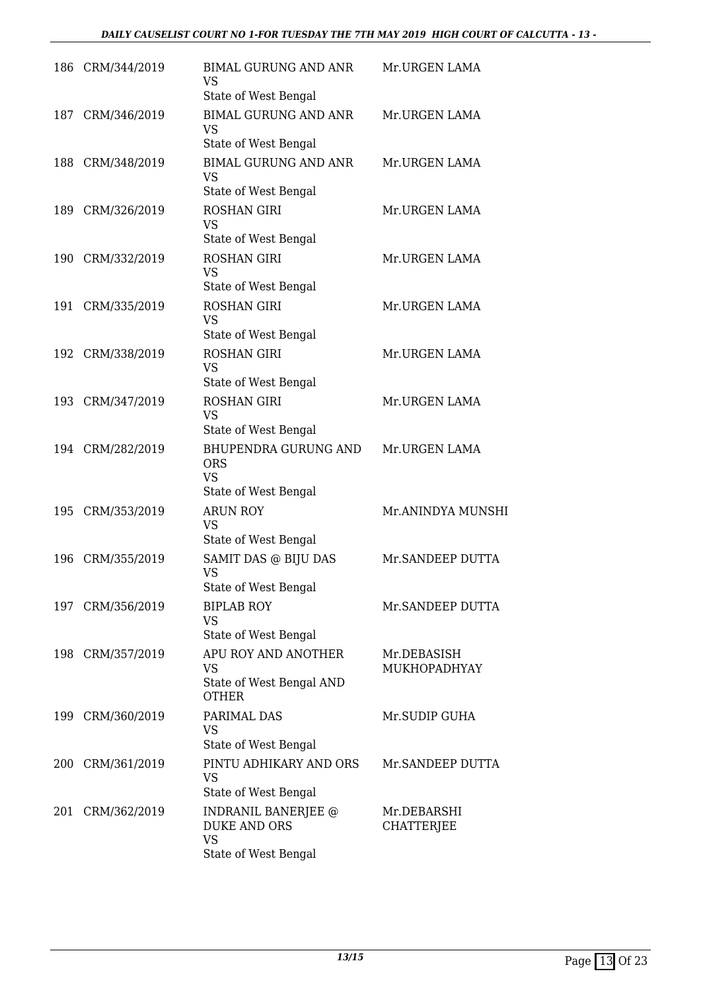|     | 186 CRM/344/2019 | <b>BIMAL GURUNG AND ANR</b><br>VS<br>State of West Bengal                       | Mr.URGEN LAMA                    |
|-----|------------------|---------------------------------------------------------------------------------|----------------------------------|
| 187 | CRM/346/2019     | <b>BIMAL GURUNG AND ANR</b><br><b>VS</b><br>State of West Bengal                | Mr.URGEN LAMA                    |
|     | 188 CRM/348/2019 | <b>BIMAL GURUNG AND ANR</b><br><b>VS</b><br>State of West Bengal                | Mr.URGEN LAMA                    |
| 189 | CRM/326/2019     | <b>ROSHAN GIRI</b><br><b>VS</b><br>State of West Bengal                         | Mr.URGEN LAMA                    |
|     | 190 CRM/332/2019 | <b>ROSHAN GIRI</b><br><b>VS</b><br>State of West Bengal                         | Mr.URGEN LAMA                    |
|     | 191 CRM/335/2019 | <b>ROSHAN GIRI</b><br><b>VS</b><br>State of West Bengal                         | Mr.URGEN LAMA                    |
| 192 | CRM/338/2019     | <b>ROSHAN GIRI</b><br><b>VS</b><br>State of West Bengal                         | Mr.URGEN LAMA                    |
|     | 193 CRM/347/2019 | <b>ROSHAN GIRI</b><br><b>VS</b><br>State of West Bengal                         | Mr.URGEN LAMA                    |
|     | 194 CRM/282/2019 | <b>BHUPENDRA GURUNG AND</b><br><b>ORS</b><br><b>VS</b><br>State of West Bengal  | Mr.URGEN LAMA                    |
| 195 | CRM/353/2019     | <b>ARUN ROY</b><br><b>VS</b><br>State of West Bengal                            | Mr.ANINDYA MUNSHI                |
| 196 | CRM/355/2019     | SAMIT DAS @ BIJU DAS<br><b>VS</b><br>State of West Bengal                       | Mr. SANDEEP DUTTA                |
|     | 197 CRM/356/2019 | <b>BIPLAB ROY</b><br><b>VS</b><br>State of West Bengal                          | Mr.SANDEEP DUTTA                 |
|     | 198 CRM/357/2019 | APU ROY AND ANOTHER<br><b>VS</b><br>State of West Bengal AND<br><b>OTHER</b>    | Mr.DEBASISH<br>MUKHOPADHYAY      |
| 199 | CRM/360/2019     | PARIMAL DAS<br><b>VS</b><br>State of West Bengal                                | Mr.SUDIP GUHA                    |
|     | 200 CRM/361/2019 | PINTU ADHIKARY AND ORS<br><b>VS</b><br>State of West Bengal                     | Mr.SANDEEP DUTTA                 |
| 201 | CRM/362/2019     | INDRANIL BANERJEE @<br><b>DUKE AND ORS</b><br><b>VS</b><br>State of West Bengal | Mr.DEBARSHI<br><b>CHATTERJEE</b> |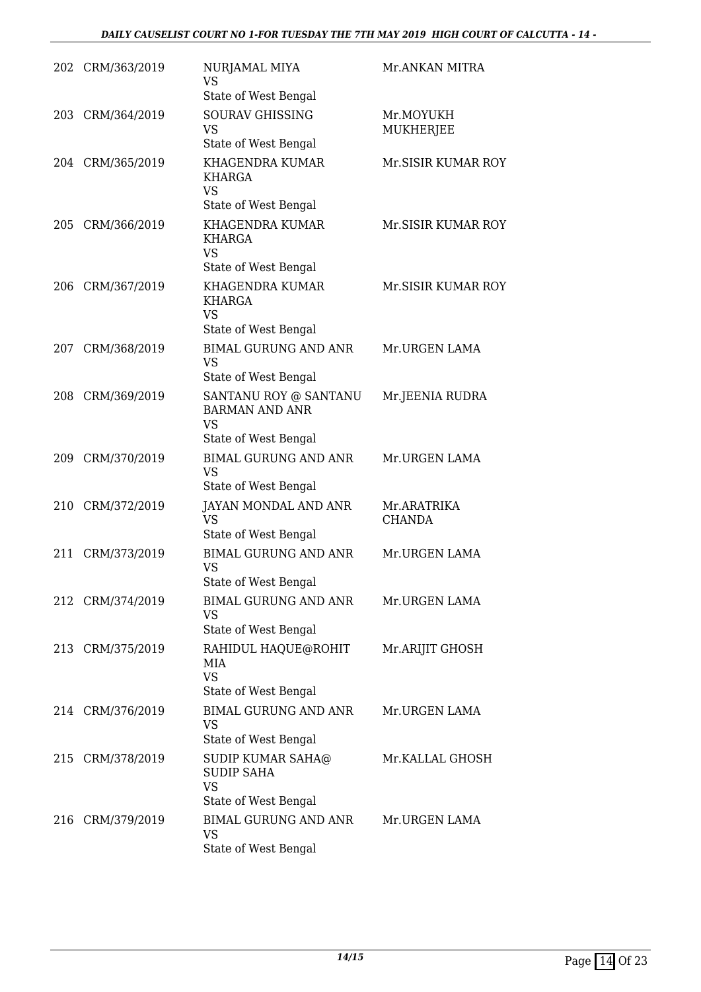|     | 202 CRM/363/2019 | NURJAMAL MIYA<br>VS<br>State of West Bengal                                              | Mr.ANKAN MITRA                |
|-----|------------------|------------------------------------------------------------------------------------------|-------------------------------|
|     | 203 CRM/364/2019 | <b>SOURAV GHISSING</b><br><b>VS</b><br>State of West Bengal                              | Mr.MOYUKH<br><b>MUKHERJEE</b> |
|     | 204 CRM/365/2019 | KHAGENDRA KUMAR<br>KHARGA<br><b>VS</b>                                                   | Mr.SISIR KUMAR ROY            |
|     | 205 CRM/366/2019 | State of West Bengal<br>KHAGENDRA KUMAR<br>KHARGA<br><b>VS</b>                           | Mr.SISIR KUMAR ROY            |
| 206 | CRM/367/2019     | State of West Bengal<br>KHAGENDRA KUMAR<br><b>KHARGA</b><br><b>VS</b>                    | Mr.SISIR KUMAR ROY            |
| 207 | CRM/368/2019     | State of West Bengal<br><b>BIMAL GURUNG AND ANR</b><br><b>VS</b><br>State of West Bengal | Mr.URGEN LAMA                 |
| 208 | CRM/369/2019     | SANTANU ROY @ SANTANU<br><b>BARMAN AND ANR</b><br><b>VS</b>                              | Mr.JEENIA RUDRA               |
| 209 | CRM/370/2019     | State of West Bengal<br><b>BIMAL GURUNG AND ANR</b><br><b>VS</b><br>State of West Bengal | Mr.URGEN LAMA                 |
| 210 | CRM/372/2019     | JAYAN MONDAL AND ANR<br><b>VS</b><br>State of West Bengal                                | Mr.ARATRIKA<br>CHANDA         |
| 211 | CRM/373/2019     | <b>BIMAL GURUNG AND ANR</b><br><b>VS</b><br>State of West Bengal                         | Mr.URGEN LAMA                 |
|     | 212 CRM/374/2019 | <b>BIMAL GURUNG AND ANR</b><br><b>VS</b><br>State of West Bengal                         | Mr.URGEN LAMA                 |
|     | 213 CRM/375/2019 | RAHIDUL HAQUE@ROHIT<br>MIA<br><b>VS</b><br>State of West Bengal                          | Mr.ARIJIT GHOSH               |
|     | 214 CRM/376/2019 | <b>BIMAL GURUNG AND ANR</b><br>VS<br>State of West Bengal                                | Mr.URGEN LAMA                 |
|     | 215 CRM/378/2019 | SUDIP KUMAR SAHA@<br><b>SUDIP SAHA</b><br><b>VS</b><br>State of West Bengal              | Mr.KALLAL GHOSH               |
|     | 216 CRM/379/2019 | <b>BIMAL GURUNG AND ANR</b><br><b>VS</b><br>State of West Bengal                         | Mr.URGEN LAMA                 |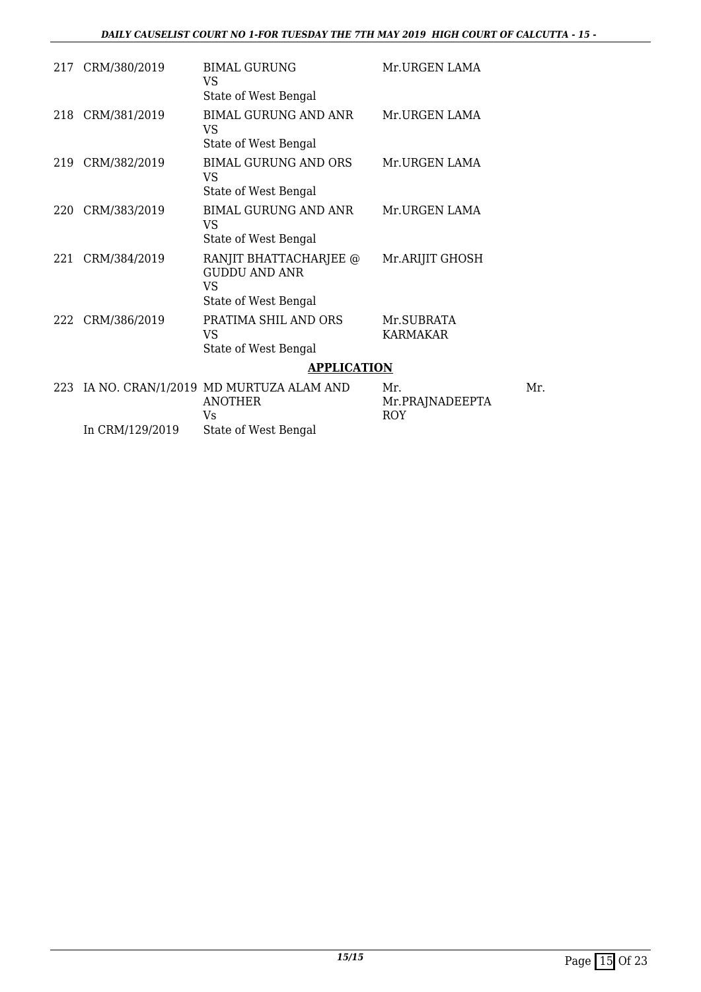| 217 | CRM/380/2019    | <b>BIMAL GURUNG</b><br>VS                                                           | Mr.URGEN LAMA                        |
|-----|-----------------|-------------------------------------------------------------------------------------|--------------------------------------|
|     |                 | State of West Bengal                                                                |                                      |
| 218 | CRM/381/2019    | <b>BIMAL GURUNG AND ANR</b><br><b>VS</b><br>State of West Bengal                    | Mr.URGEN LAMA                        |
|     |                 |                                                                                     |                                      |
| 219 | CRM/382/2019    | <b>BIMAL GURUNG AND ORS</b><br>VS<br>State of West Bengal                           | Mr.URGEN LAMA                        |
| 220 | CRM/383/2019    | BIMAL GURUNG AND ANR<br>VS<br>State of West Bengal                                  | Mr.URGEN LAMA                        |
| 221 | CRM/384/2019    | RANJIT BHATTACHARJEE @<br><b>GUDDU AND ANR</b><br><b>VS</b><br>State of West Bengal | Mr.ARIJIT GHOSH                      |
| 222 | CRM/386/2019    | PRATIMA SHIL AND ORS<br><b>VS</b><br>State of West Bengal                           | Mr.SUBRATA<br><b>KARMAKAR</b>        |
|     |                 | <b>APPLICATION</b>                                                                  |                                      |
| 223 |                 | IA NO. CRAN/1/2019 MD MURTUZA ALAM AND<br><b>ANOTHER</b><br>Vs                      | Mr.<br>Mr.PRAJNADEEPTA<br><b>ROY</b> |
|     | In CRM/129/2019 | State of West Bengal                                                                |                                      |

Mr.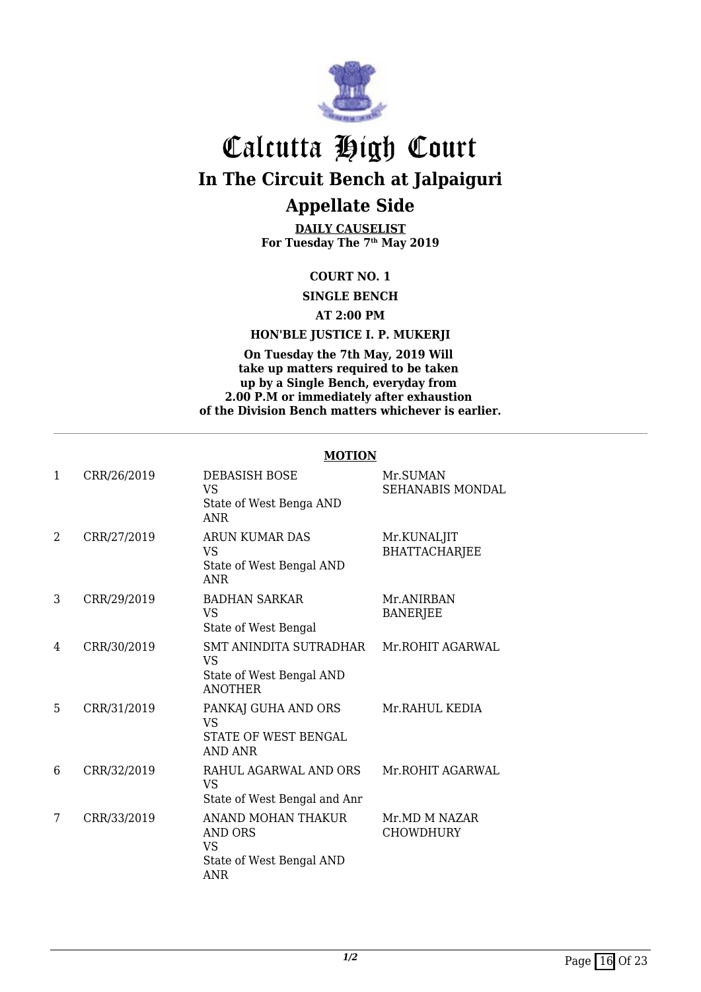

**DAILY CAUSELIST For Tuesday The 7th May 2019**

#### **COURT NO. 1**

**SINGLE BENCH**

**AT 2:00 PM**

#### **HON'BLE JUSTICE I. P. MUKERJI**

**On Tuesday the 7th May, 2019 Will take up matters required to be taken up by a Single Bench, everyday from 2.00 P.M or immediately after exhaustion of the Division Bench matters whichever is earlier.**

|              |             | MUTIUN                                                                               |                                     |
|--------------|-------------|--------------------------------------------------------------------------------------|-------------------------------------|
| $\mathbf{1}$ | CRR/26/2019 | DEBASISH BOSE<br><b>VS</b><br>State of West Benga AND<br><b>ANR</b>                  | Mr.SUMAN<br><b>SEHANABIS MONDAL</b> |
| 2            | CRR/27/2019 | <b>ARUN KUMAR DAS</b><br><b>VS</b><br>State of West Bengal AND<br><b>ANR</b>         | Mr.KUNALJIT<br><b>BHATTACHARJEE</b> |
| 3            | CRR/29/2019 | <b>BADHAN SARKAR</b><br><b>VS</b><br>State of West Bengal                            | Mr.ANIRBAN<br><b>BANERJEE</b>       |
| 4            | CRR/30/2019 | SMT ANINDITA SUTRADHAR<br>VS<br>State of West Bengal AND<br><b>ANOTHER</b>           | Mr.ROHIT AGARWAL                    |
| 5            | CRR/31/2019 | PANKAJ GUHA AND ORS<br><b>VS</b><br>STATE OF WEST BENGAL<br><b>AND ANR</b>           | Mr.RAHUL KEDIA                      |
| 6            | CRR/32/2019 | RAHUL AGARWAL AND ORS<br><b>VS</b><br>State of West Bengal and Anr                   | Mr.ROHIT AGARWAL                    |
| 7            | CRR/33/2019 | ANAND MOHAN THAKUR<br><b>AND ORS</b><br><b>VS</b><br>State of West Bengal AND<br>ANR | Mr.MD M NAZAR<br><b>CHOWDHURY</b>   |

#### **MOTION**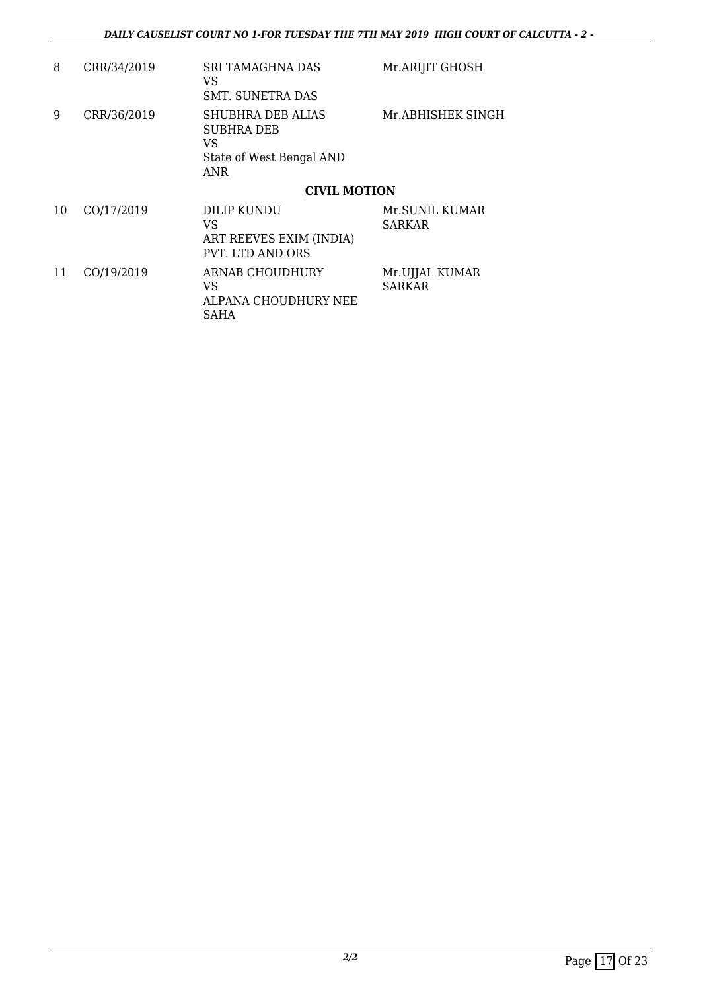| 8  | CRR/34/2019 | <b>SRI TAMAGHNA DAS</b><br>VS<br>SMT. SUNETRA DAS                               | Mr.ARIJIT GHOSH                 |
|----|-------------|---------------------------------------------------------------------------------|---------------------------------|
| 9  | CRR/36/2019 | SHUBHRA DEB ALIAS<br><b>SUBHRA DEB</b><br>VS<br>State of West Bengal AND<br>ANR | Mr.ABHISHEK SINGH               |
|    |             | <b>CIVIL MOTION</b>                                                             |                                 |
| 10 | CO/17/2019  | DILIP KUNDU<br>VS<br>ART REEVES EXIM (INDIA)<br>PVT. LTD AND ORS                | Mr.SUNIL KUMAR<br><b>SARKAR</b> |
| 11 | CO/19/2019  | ARNAB CHOUDHURY<br>VS<br>ALPANA CHOUDHURY NEE<br>SAHA                           | Mr.UJJAL KUMAR<br><b>SARKAR</b> |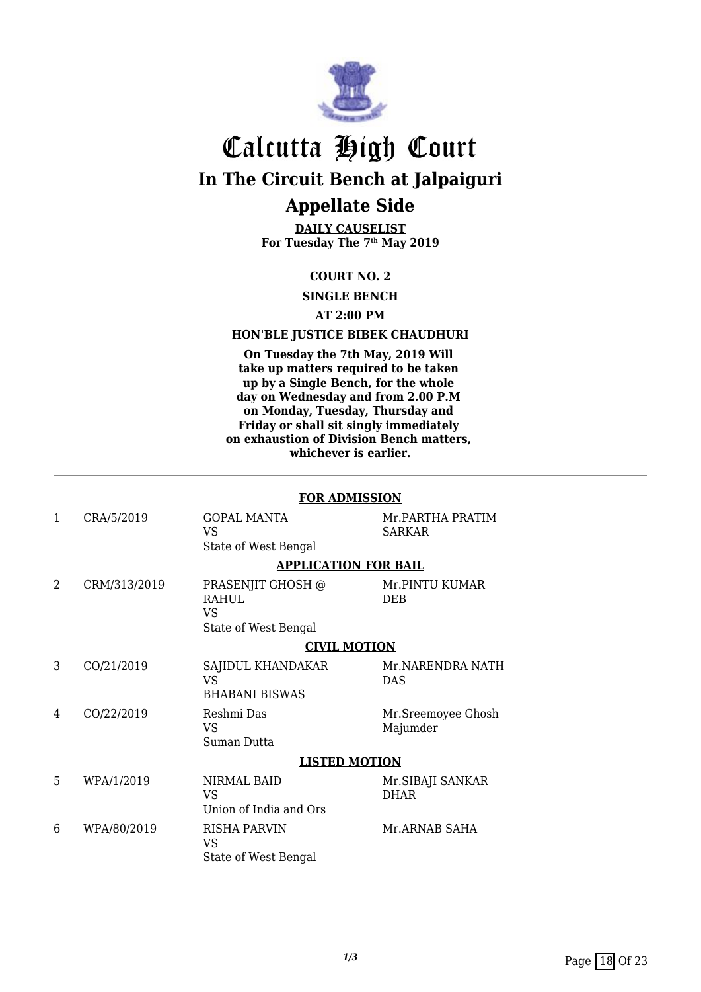

**DAILY CAUSELIST For Tuesday The 7th May 2019**

#### **COURT NO. 2**

**SINGLE BENCH**

#### **AT 2:00 PM**

#### **HON'BLE JUSTICE BIBEK CHAUDHURI**

**On Tuesday the 7th May, 2019 Will take up matters required to be taken up by a Single Bench, for the whole day on Wednesday and from 2.00 P.M on Monday, Tuesday, Thursday and Friday or shall sit singly immediately on exhaustion of Division Bench matters, whichever is earlier.**

|              |              | <b>FOR ADMISSION</b>                                                   |                                   |  |
|--------------|--------------|------------------------------------------------------------------------|-----------------------------------|--|
| $\mathbf{1}$ | CRA/5/2019   | <b>GOPAL MANTA</b><br><b>VS</b><br>State of West Bengal                | Mr.PARTHA PRATIM<br><b>SARKAR</b> |  |
|              |              | <b>APPLICATION FOR BAIL</b>                                            |                                   |  |
| 2            | CRM/313/2019 | PRASENJIT GHOSH @<br><b>RAHUL</b><br><b>VS</b><br>State of West Bengal | Mr.PINTU KUMAR<br><b>DEB</b>      |  |
|              |              |                                                                        |                                   |  |
|              |              | <b>CIVIL MOTION</b>                                                    |                                   |  |
| 3            | CO/21/2019   | SAJIDUL KHANDAKAR<br><b>VS</b><br><b>BHABANI BISWAS</b>                | Mr.NARENDRA NATH<br>DAS           |  |
| 4            | CO/22/2019   | Reshmi Das<br><b>VS</b><br>Suman Dutta                                 | Mr.Sreemoyee Ghosh<br>Majumder    |  |
|              |              | <b>LISTED MOTION</b>                                                   |                                   |  |
| 5            | WPA/1/2019   | <b>NIRMAL BAID</b><br>VS<br>Union of India and Ors                     | Mr. SIBAJI SANKAR<br><b>DHAR</b>  |  |
| 6            | WPA/80/2019  | <b>RISHA PARVIN</b><br><b>VS</b><br>State of West Bengal               | Mr.ARNAB SAHA                     |  |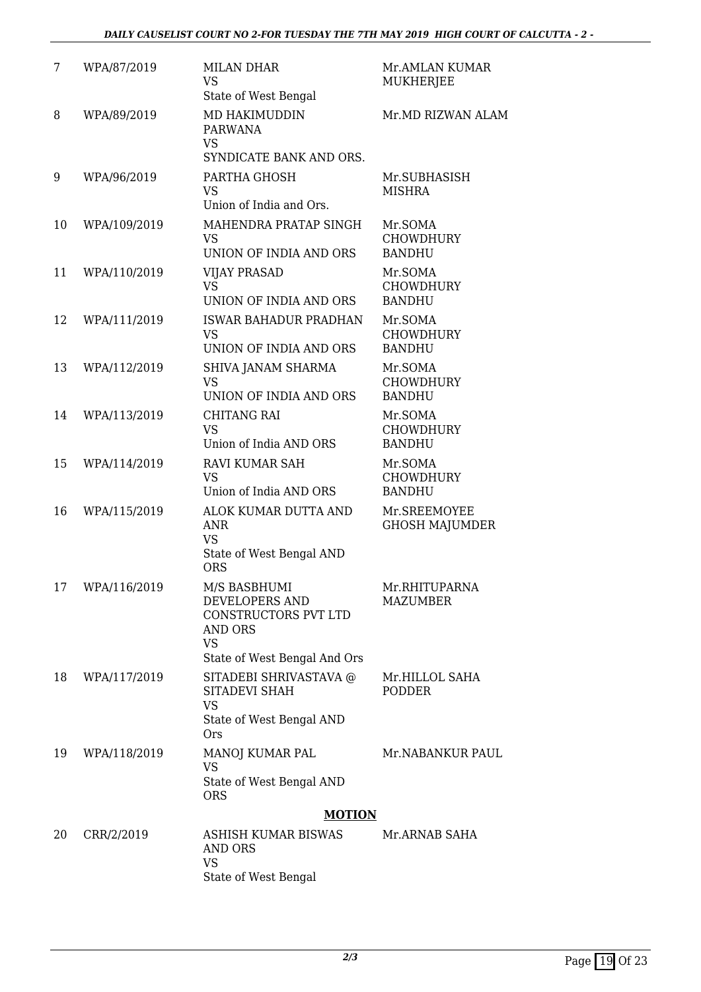| 7  | WPA/87/2019  | <b>MILAN DHAR</b><br><b>VS</b><br>State of West Bengal                                                         | Mr.AMLAN KUMAR<br><b>MUKHERJEE</b>           |
|----|--------------|----------------------------------------------------------------------------------------------------------------|----------------------------------------------|
| 8  | WPA/89/2019  | MD HAKIMUDDIN<br><b>PARWANA</b><br>VS.<br>SYNDICATE BANK AND ORS.                                              | Mr.MD RIZWAN ALAM                            |
| 9  | WPA/96/2019  | PARTHA GHOSH<br><b>VS</b><br>Union of India and Ors.                                                           | Mr.SUBHASISH<br><b>MISHRA</b>                |
| 10 | WPA/109/2019 | MAHENDRA PRATAP SINGH<br><b>VS</b><br>UNION OF INDIA AND ORS                                                   | Mr.SOMA<br><b>CHOWDHURY</b><br><b>BANDHU</b> |
| 11 | WPA/110/2019 | <b>VIJAY PRASAD</b><br><b>VS</b><br>UNION OF INDIA AND ORS                                                     | Mr.SOMA<br><b>CHOWDHURY</b><br><b>BANDHU</b> |
| 12 | WPA/111/2019 | <b>ISWAR BAHADUR PRADHAN</b><br><b>VS</b><br>UNION OF INDIA AND ORS                                            | Mr.SOMA<br><b>CHOWDHURY</b><br><b>BANDHU</b> |
| 13 | WPA/112/2019 | SHIVA JANAM SHARMA<br><b>VS</b><br>UNION OF INDIA AND ORS                                                      | Mr.SOMA<br><b>CHOWDHURY</b><br><b>BANDHU</b> |
| 14 | WPA/113/2019 | <b>CHITANG RAI</b><br><b>VS</b><br>Union of India AND ORS                                                      | Mr.SOMA<br><b>CHOWDHURY</b><br><b>BANDHU</b> |
| 15 | WPA/114/2019 | <b>RAVI KUMAR SAH</b><br><b>VS</b><br>Union of India AND ORS                                                   | Mr.SOMA<br><b>CHOWDHURY</b><br><b>BANDHU</b> |
| 16 | WPA/115/2019 | ALOK KUMAR DUTTA AND<br><b>ANR</b><br><b>VS</b><br>State of West Bengal AND<br><b>ORS</b>                      | Mr.SREEMOYEE<br><b>GHOSH MAJUMDER</b>        |
| 17 | WPA/116/2019 | M/S BASBHUMI<br>DEVELOPERS AND<br>CONSTRUCTORS PVT LTD<br>AND ORS<br><b>VS</b><br>State of West Bengal And Ors | Mr.RHITUPARNA<br><b>MAZUMBER</b>             |
| 18 | WPA/117/2019 | SITADEBI SHRIVASTAVA @<br>SITADEVI SHAH<br><b>VS</b><br>State of West Bengal AND<br><b>Ors</b>                 | Mr.HILLOL SAHA<br><b>PODDER</b>              |
| 19 | WPA/118/2019 | MANOJ KUMAR PAL<br><b>VS</b><br>State of West Bengal AND<br><b>ORS</b>                                         | Mr.NABANKUR PAUL                             |
|    |              | <b>MOTION</b>                                                                                                  |                                              |
| 20 | CRR/2/2019   | ASHISH KUMAR BISWAS<br>AND ORS<br><b>VS</b><br>State of West Bengal                                            | Mr.ARNAB SAHA                                |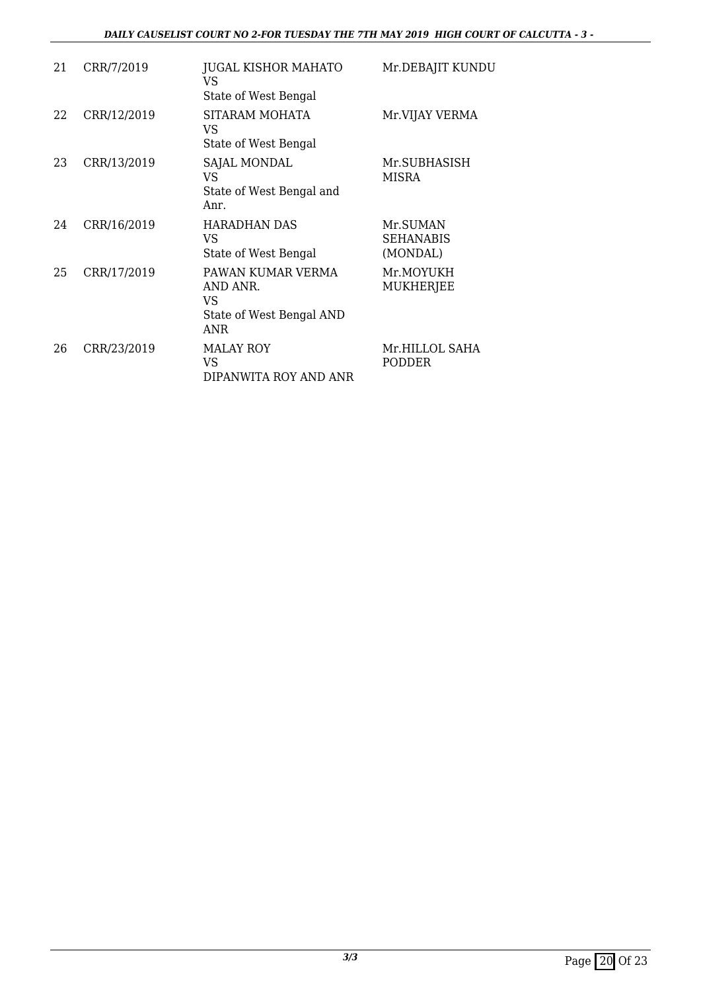#### *DAILY CAUSELIST COURT NO 2-FOR TUESDAY THE 7TH MAY 2019 HIGH COURT OF CALCUTTA - 3 -*

| 21 | CRR/7/2019  | <b>JUGAL KISHOR MAHATO</b><br><b>VS</b><br>State of West Bengal               | Mr.DEBAJIT KUNDU                         |
|----|-------------|-------------------------------------------------------------------------------|------------------------------------------|
| 22 | CRR/12/2019 | SITARAM MOHATA<br>VS<br>State of West Bengal                                  | Mr.VIJAY VERMA                           |
| 23 | CRR/13/2019 | SAJAL MONDAL<br><b>VS</b><br>State of West Bengal and<br>Anr.                 | Mr.SUBHASISH<br>MISRA                    |
| 24 | CRR/16/2019 | <b>HARADHAN DAS</b><br>VS<br>State of West Bengal                             | Mr.SUMAN<br><b>SEHANABIS</b><br>(MONDAL) |
| 25 | CRR/17/2019 | PAWAN KUMAR VERMA<br>AND ANR.<br>VS<br>State of West Bengal AND<br><b>ANR</b> | Mr.MOYUKH<br><b>MUKHERJEE</b>            |
| 26 | CRR/23/2019 | <b>MALAY ROY</b><br>VS.<br>DIPANWITA ROY AND ANR                              | Mr.HILLOL SAHA<br><b>PODDER</b>          |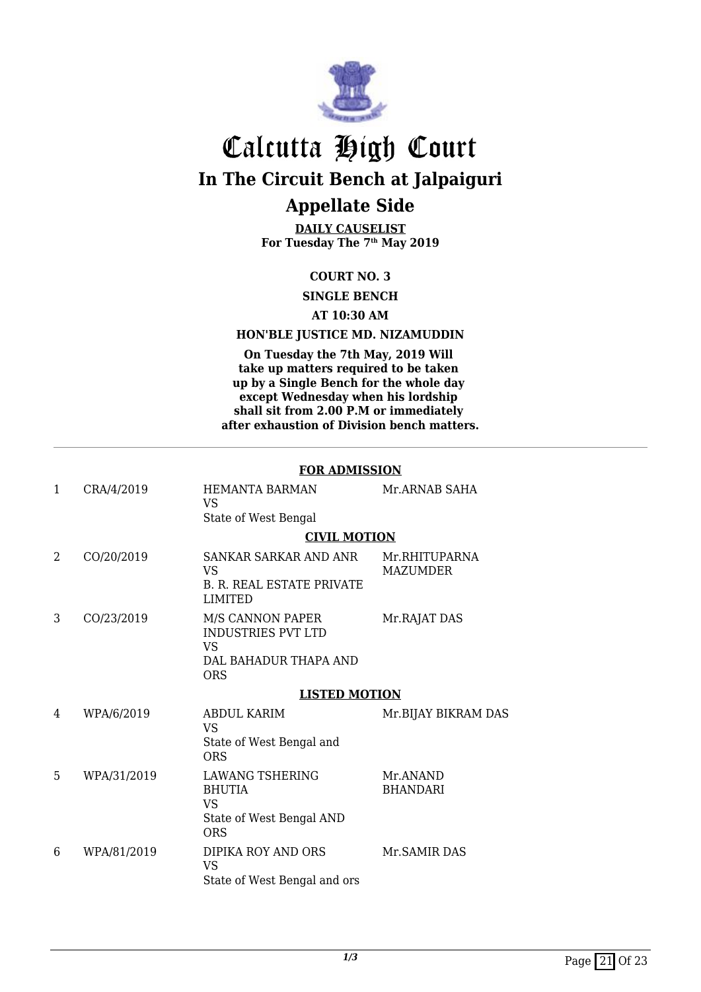

**DAILY CAUSELIST For Tuesday The 7th May 2019**

#### **COURT NO. 3**

**SINGLE BENCH**

#### **AT 10:30 AM**

#### **HON'BLE JUSTICE MD. NIZAMUDDIN**

**On Tuesday the 7th May, 2019 Will take up matters required to be taken up by a Single Bench for the whole day except Wednesday when his lordship shall sit from 2.00 P.M or immediately after exhaustion of Division bench matters.**

#### **FOR ADMISSION**

| $\mathbf{1}$ | CRA/4/2019  | <b>HEMANTA BARMAN</b><br><b>VS</b><br>State of West Bengal                                     | Mr.ARNAB SAHA               |
|--------------|-------------|------------------------------------------------------------------------------------------------|-----------------------------|
|              |             | <b>CIVIL MOTION</b>                                                                            |                             |
| 2            | CO/20/2019  | SANKAR SARKAR AND ANR<br>VS<br><b>B. R. REAL ESTATE PRIVATE</b><br><b>LIMITED</b>              | Mr.RHITUPARNA<br>MAZUMDER   |
| 3            | CO/23/2019  | M/S CANNON PAPER<br><b>INDUSTRIES PVT LTD</b><br>VS<br>DAL BAHADUR THAPA AND<br><b>ORS</b>     | Mr.RAJAT DAS                |
|              |             | <b>LISTED MOTION</b>                                                                           |                             |
| 4            | WPA/6/2019  | ABDUL KARIM<br><b>VS</b><br>State of West Bengal and<br><b>ORS</b>                             | Mr.BIJAY BIKRAM DAS         |
| 5            |             |                                                                                                |                             |
|              | WPA/31/2019 | <b>LAWANG TSHERING</b><br><b>BHUTIA</b><br><b>VS</b><br>State of West Bengal AND<br><b>ORS</b> | Mr.ANAND<br><b>BHANDARI</b> |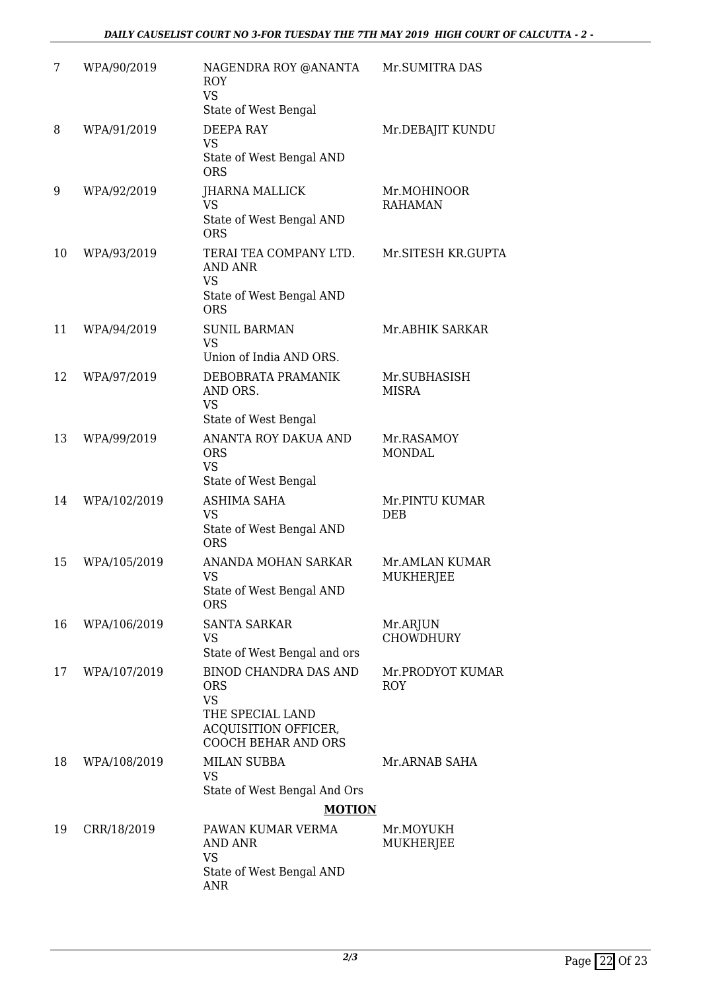| 7  | WPA/90/2019  | NAGENDRA ROY @ANANTA<br><b>ROY</b><br><b>VS</b><br>State of West Bengal                                                           | Mr.SUMITRA DAS                 |
|----|--------------|-----------------------------------------------------------------------------------------------------------------------------------|--------------------------------|
| 8  | WPA/91/2019  | <b>DEEPA RAY</b><br><b>VS</b><br>State of West Bengal AND<br><b>ORS</b>                                                           | Mr.DEBAJIT KUNDU               |
| 9  | WPA/92/2019  | <b>JHARNA MALLICK</b><br><b>VS</b><br>State of West Bengal AND<br><b>ORS</b>                                                      | Mr.MOHINOOR<br><b>RAHAMAN</b>  |
| 10 | WPA/93/2019  | TERAI TEA COMPANY LTD.<br><b>AND ANR</b><br><b>VS</b><br>State of West Bengal AND<br><b>ORS</b>                                   | Mr.SITESH KR.GUPTA             |
| 11 | WPA/94/2019  | <b>SUNIL BARMAN</b><br><b>VS</b><br>Union of India AND ORS.                                                                       | Mr.ABHIK SARKAR                |
| 12 | WPA/97/2019  | DEBOBRATA PRAMANIK<br>AND ORS.<br><b>VS</b><br>State of West Bengal                                                               | Mr.SUBHASISH<br><b>MISRA</b>   |
| 13 | WPA/99/2019  | ANANTA ROY DAKUA AND<br><b>ORS</b><br><b>VS</b><br>State of West Bengal                                                           | Mr.RASAMOY<br><b>MONDAL</b>    |
| 14 | WPA/102/2019 | <b>ASHIMA SAHA</b><br><b>VS</b><br>State of West Bengal AND<br><b>ORS</b>                                                         | Mr.PINTU KUMAR<br><b>DEB</b>   |
| 15 | WPA/105/2019 | ANANDA MOHAN SARKAR<br><b>VS</b><br>State of West Bengal AND<br><b>ORS</b>                                                        | Mr.AMLAN KUMAR<br>MUKHERJEE    |
| 16 | WPA/106/2019 | SANTA SARKAR<br>VS<br>State of West Bengal and ors                                                                                | Mr.ARJUN<br><b>CHOWDHURY</b>   |
| 17 | WPA/107/2019 | <b>BINOD CHANDRA DAS AND</b><br><b>ORS</b><br><b>VS</b><br>THE SPECIAL LAND<br>ACQUISITION OFFICER,<br><b>COOCH BEHAR AND ORS</b> | Mr.PRODYOT KUMAR<br><b>ROY</b> |
| 18 | WPA/108/2019 | <b>MILAN SUBBA</b><br><b>VS</b><br>State of West Bengal And Ors<br><b>MOTION</b>                                                  | Mr.ARNAB SAHA                  |
| 19 | CRR/18/2019  | PAWAN KUMAR VERMA<br>AND ANR<br><b>VS</b><br>State of West Bengal AND<br><b>ANR</b>                                               | Mr.MOYUKH<br>MUKHERJEE         |